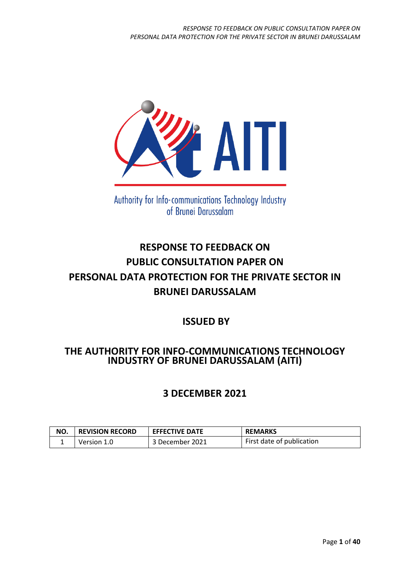

Authority for Info-communications Technology Industry of Brunei Darussalam

# **RESPONSE TO FEEDBACK ON PUBLIC CONSULTATION PAPER ON PERSONAL DATA PROTECTION FOR THE PRIVATE SECTOR IN BRUNEI DARUSSALAM**

## **ISSUED BY**

## **THE AUTHORITY FOR INFO-COMMUNICATIONS TECHNOLOGY INDUSTRY OF BRUNEI DARUSSALAM (AITI)**

## **3 DECEMBER 2021**

| NO. | <b>REVISION RECORD</b> | <b>EFFECTIVE DATE</b> | <b>REMARKS</b>            |
|-----|------------------------|-----------------------|---------------------------|
|     | Version 1.0            | 3 December 2021       | First date of publication |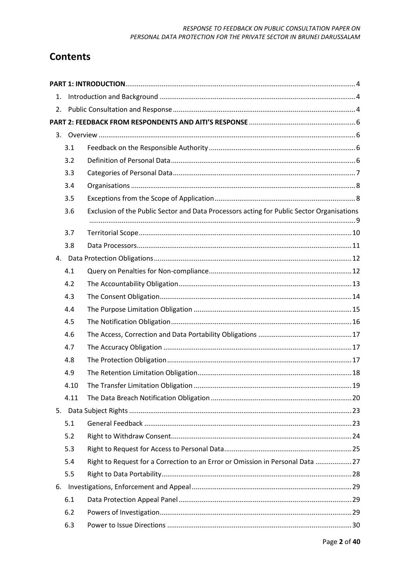#### RESPONSE TO FEEDBACK ON PUBLIC CONSULTATION PAPER ON PERSONAL DATA PROTECTION FOR THE PRIVATE SECTOR IN BRUNEI DARUSSALAM

## **Contents**

| 1. |            |                                                                                           |  |
|----|------------|-------------------------------------------------------------------------------------------|--|
| 2. |            |                                                                                           |  |
|    |            |                                                                                           |  |
|    |            |                                                                                           |  |
|    | 3.1        |                                                                                           |  |
|    | 3.2        |                                                                                           |  |
|    | 3.3        |                                                                                           |  |
|    | 3.4        |                                                                                           |  |
|    | 3.5        |                                                                                           |  |
|    | 3.6        | Exclusion of the Public Sector and Data Processors acting for Public Sector Organisations |  |
|    |            |                                                                                           |  |
|    | 3.7        |                                                                                           |  |
|    | 3.8        |                                                                                           |  |
|    |            |                                                                                           |  |
|    | 4.1<br>4.2 |                                                                                           |  |
|    | 4.3        |                                                                                           |  |
|    | 4.4        |                                                                                           |  |
|    | 4.5        |                                                                                           |  |
|    | 4.6        |                                                                                           |  |
|    | 4.7        |                                                                                           |  |
|    | 4.8        |                                                                                           |  |
|    | 4.9        |                                                                                           |  |
|    | 4.10       |                                                                                           |  |
|    | 4.11       |                                                                                           |  |
| 5. |            |                                                                                           |  |
|    | 5.1        |                                                                                           |  |
|    | 5.2        |                                                                                           |  |
|    | 5.3        |                                                                                           |  |
|    | 5.4        | Right to Request for a Correction to an Error or Omission in Personal Data  27            |  |
|    | 5.5        |                                                                                           |  |
|    |            |                                                                                           |  |
|    | 6.1        |                                                                                           |  |
|    | 6.2        |                                                                                           |  |
|    | 6.3        |                                                                                           |  |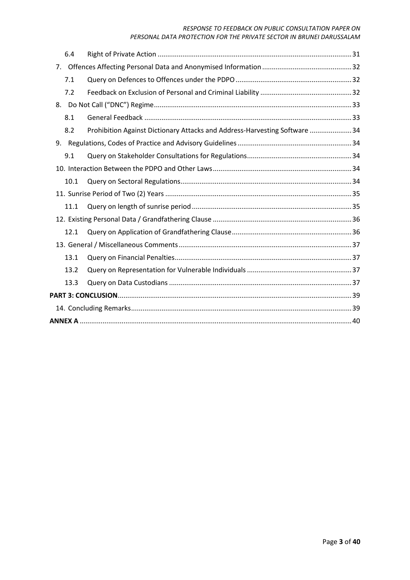#### *RESPONSE TO FEEDBACK ON PUBLIC CONSULTATION PAPER ON*

#### *PERSONAL DATA PROTECTION FOR THE PRIVATE SECTOR IN BRUNEI DARUSSALAM*

| 6.4            |                                                                            |  |
|----------------|----------------------------------------------------------------------------|--|
| 7 <sub>1</sub> |                                                                            |  |
| 7.1            |                                                                            |  |
| 7.2            |                                                                            |  |
|                |                                                                            |  |
| 8.1            |                                                                            |  |
| 8.2            | Prohibition Against Dictionary Attacks and Address-Harvesting Software  34 |  |
|                |                                                                            |  |
| 9.1            |                                                                            |  |
|                |                                                                            |  |
| 10.1           |                                                                            |  |
|                |                                                                            |  |
| 11.1           |                                                                            |  |
|                |                                                                            |  |
| 12.1           |                                                                            |  |
|                |                                                                            |  |
| 13.1           |                                                                            |  |
| 13.2           |                                                                            |  |
| 13.3           |                                                                            |  |
|                |                                                                            |  |
|                |                                                                            |  |
|                |                                                                            |  |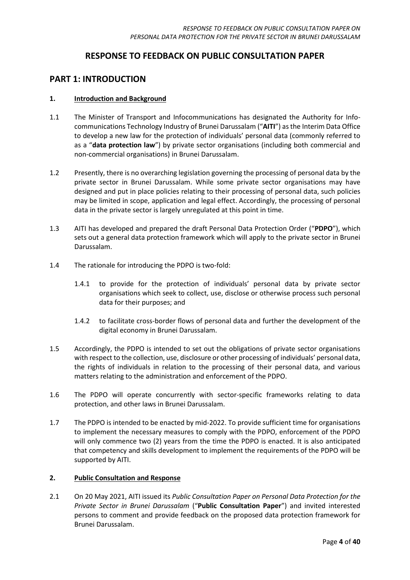### **RESPONSE TO FEEDBACK ON PUBLIC CONSULTATION PAPER**

### <span id="page-3-0"></span>**PART 1: INTRODUCTION**

#### <span id="page-3-1"></span>**1. Introduction and Background**

- 1.1 The Minister of Transport and Infocommunications has designated the Authority for Infocommunications Technology Industry of Brunei Darussalam ("**AITI**") as the Interim Data Office to develop a new law for the protection of individuals' personal data (commonly referred to as a "**data protection law**") by private sector organisations (including both commercial and non-commercial organisations) in Brunei Darussalam.
- 1.2 Presently, there is no overarching legislation governing the processing of personal data by the private sector in Brunei Darussalam. While some private sector organisations may have designed and put in place policies relating to their processing of personal data, such policies may be limited in scope, application and legal effect. Accordingly, the processing of personal data in the private sector is largely unregulated at this point in time.
- 1.3 AITI has developed and prepared the draft Personal Data Protection Order ("**PDPO**"), which sets out a general data protection framework which will apply to the private sector in Brunei Darussalam.
- 1.4 The rationale for introducing the PDPO is two-fold:
	- 1.4.1 to provide for the protection of individuals' personal data by private sector organisations which seek to collect, use, disclose or otherwise process such personal data for their purposes; and
	- 1.4.2 to facilitate cross-border flows of personal data and further the development of the digital economy in Brunei Darussalam.
- 1.5 Accordingly, the PDPO is intended to set out the obligations of private sector organisations with respect to the collection, use, disclosure or other processing of individuals' personal data, the rights of individuals in relation to the processing of their personal data, and various matters relating to the administration and enforcement of the PDPO.
- 1.6 The PDPO will operate concurrently with sector-specific frameworks relating to data protection, and other laws in Brunei Darussalam.
- 1.7 The PDPO is intended to be enacted by mid-2022. To provide sufficient time for organisations to implement the necessary measures to comply with the PDPO, enforcement of the PDPO will only commence two (2) years from the time the PDPO is enacted. It is also anticipated that competency and skills development to implement the requirements of the PDPO will be supported by AITI.

#### <span id="page-3-2"></span>**2. Public Consultation and Response**

2.1 On 20 May 2021, AITI issued its *Public Consultation Paper on Personal Data Protection for the Private Sector in Brunei Darussalam* ("**Public Consultation Paper**") and invited interested persons to comment and provide feedback on the proposed data protection framework for Brunei Darussalam.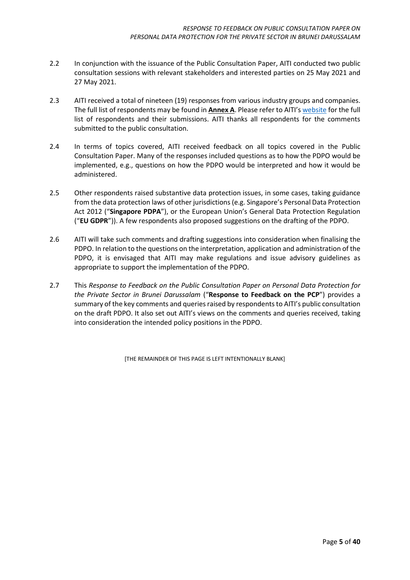- 2.2 In conjunction with the issuance of the Public Consultation Paper, AITI conducted two public consultation sessions with relevant stakeholders and interested parties on 25 May 2021 and 27 May 2021.
- 2.3 AITI received a total of nineteen (19) responses from various industry groups and companies. The full list of respondents may be found in **Annex A**. Please refer to AITI's [website](https://www.aiti.gov.bn/SitePages/pdp.aspx) for the full list of respondents and their submissions. AITI thanks all respondents for the comments submitted to the public consultation.
- 2.4 In terms of topics covered, AITI received feedback on all topics covered in the Public Consultation Paper. Many of the responses included questions as to how the PDPO would be implemented, e.g., questions on how the PDPO would be interpreted and how it would be administered.
- 2.5 Other respondents raised substantive data protection issues, in some cases, taking guidance from the data protection laws of other jurisdictions (e.g. Singapore's Personal Data Protection Act 2012 ("**Singapore PDPA**"), or the European Union's General Data Protection Regulation ("**EU GDPR**")). A few respondents also proposed suggestions on the drafting of the PDPO.
- 2.6 AITI will take such comments and drafting suggestions into consideration when finalising the PDPO. In relation to the questions on the interpretation, application and administration of the PDPO, it is envisaged that AITI may make regulations and issue advisory guidelines as appropriate to support the implementation of the PDPO.
- 2.7 This *Response to Feedback on the Public Consultation Paper on Personal Data Protection for the Private Sector in Brunei Darussalam* ("**Response to Feedback on the PCP**") provides a summary of the key comments and queries raised by respondents to AITI's public consultation on the draft PDPO. It also set out AITI's views on the comments and queries received, taking into consideration the intended policy positions in the PDPO.

[THE REMAINDER OF THIS PAGE IS LEFT INTENTIONALLY BLANK]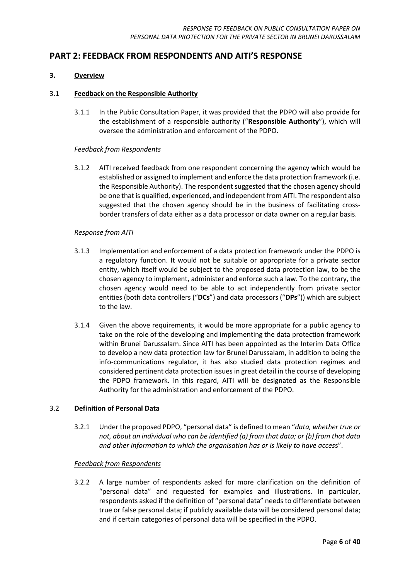### <span id="page-5-0"></span>**PART 2: FEEDBACK FROM RESPONDENTS AND AITI'S RESPONSE**

#### <span id="page-5-1"></span>**3. Overview**

#### <span id="page-5-2"></span>3.1 **Feedback on the Responsible Authority**

3.1.1 In the Public Consultation Paper, it was provided that the PDPO will also provide for the establishment of a responsible authority ("**Responsible Authority**"), which will oversee the administration and enforcement of the PDPO.

#### *Feedback from Respondents*

3.1.2 AITI received feedback from one respondent concerning the agency which would be established or assigned to implement and enforce the data protection framework (i.e. the Responsible Authority). The respondent suggested that the chosen agency should be one that is qualified, experienced, and independent from AITI. The respondent also suggested that the chosen agency should be in the business of facilitating crossborder transfers of data either as a data processor or data owner on a regular basis.

#### *Response from AITI*

- 3.1.3 Implementation and enforcement of a data protection framework under the PDPO is a regulatory function. It would not be suitable or appropriate for a private sector entity, which itself would be subject to the proposed data protection law, to be the chosen agency to implement, administer and enforce such a law. To the contrary, the chosen agency would need to be able to act independently from private sector entities (both data controllers ("**DCs**") and data processors ("**DPs**")) which are subject to the law.
- 3.1.4 Given the above requirements, it would be more appropriate for a public agency to take on the role of the developing and implementing the data protection framework within Brunei Darussalam. Since AITI has been appointed as the Interim Data Office to develop a new data protection law for Brunei Darussalam, in addition to being the info-communications regulator, it has also studied data protection regimes and considered pertinent data protection issues in great detail in the course of developing the PDPO framework. In this regard, AITI will be designated as the Responsible Authority for the administration and enforcement of the PDPO.

#### <span id="page-5-3"></span>3.2 **Definition of Personal Data**

3.2.1 Under the proposed PDPO, "personal data" is defined to mean "*data, whether true or not, about an individual who can be identified (a) from that data; or (b) from that data and other information to which the organisation has or is likely to have acces*s".

#### *Feedback from Respondents*

3.2.2 A large number of respondents asked for more clarification on the definition of "personal data" and requested for examples and illustrations. In particular, respondents asked if the definition of "personal data" needs to differentiate between true or false personal data; if publicly available data will be considered personal data; and if certain categories of personal data will be specified in the PDPO.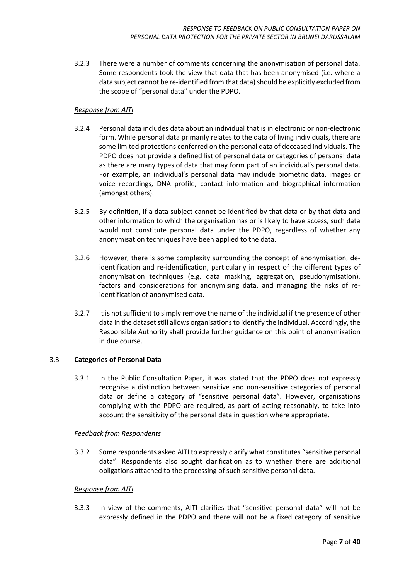3.2.3 There were a number of comments concerning the anonymisation of personal data. Some respondents took the view that data that has been anonymised (i.e. where a data subject cannot be re-identified from that data) should be explicitly excluded from the scope of "personal data" under the PDPO.

#### *Response from AITI*

- 3.2.4 Personal data includes data about an individual that is in electronic or non-electronic form. While personal data primarily relates to the data of living individuals, there are some limited protections conferred on the personal data of deceased individuals. The PDPO does not provide a defined list of personal data or categories of personal data as there are many types of data that may form part of an individual's personal data. For example, an individual's personal data may include biometric data, images or voice recordings, DNA profile, contact information and biographical information (amongst others).
- 3.2.5 By definition, if a data subject cannot be identified by that data or by that data and other information to which the organisation has or is likely to have access, such data would not constitute personal data under the PDPO, regardless of whether any anonymisation techniques have been applied to the data.
- 3.2.6 However, there is some complexity surrounding the concept of anonymisation, deidentification and re-identification, particularly in respect of the different types of anonymisation techniques (e.g. data masking, aggregation, pseudonymisation), factors and considerations for anonymising data, and managing the risks of reidentification of anonymised data.
- 3.2.7 It is not sufficient to simply remove the name of the individual if the presence of other data in the dataset still allows organisations to identify the individual. Accordingly, the Responsible Authority shall provide further guidance on this point of anonymisation in due course.

#### <span id="page-6-0"></span>3.3 **Categories of Personal Data**

3.3.1 In the Public Consultation Paper, it was stated that the PDPO does not expressly recognise a distinction between sensitive and non-sensitive categories of personal data or define a category of "sensitive personal data". However, organisations complying with the PDPO are required, as part of acting reasonably, to take into account the sensitivity of the personal data in question where appropriate.

#### *Feedback from Respondents*

3.3.2 Some respondents asked AITI to expressly clarify what constitutes "sensitive personal data". Respondents also sought clarification as to whether there are additional obligations attached to the processing of such sensitive personal data.

#### *Response from AITI*

3.3.3 In view of the comments, AITI clarifies that "sensitive personal data" will not be expressly defined in the PDPO and there will not be a fixed category of sensitive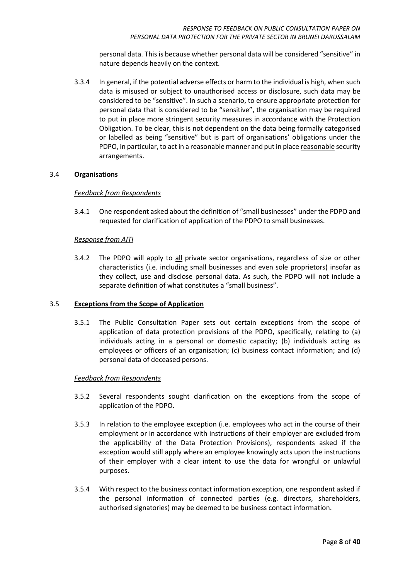personal data. This is because whether personal data will be considered "sensitive" in nature depends heavily on the context.

3.3.4 In general, if the potential adverse effects or harm to the individual is high, when such data is misused or subject to unauthorised access or disclosure, such data may be considered to be "sensitive". In such a scenario, to ensure appropriate protection for personal data that is considered to be "sensitive", the organisation may be required to put in place more stringent security measures in accordance with the Protection Obligation. To be clear, this is not dependent on the data being formally categorised or labelled as being "sensitive" but is part of organisations' obligations under the PDPO, in particular, to act in a reasonable manner and put in place reasonable security arrangements.

#### <span id="page-7-0"></span>3.4 **Organisations**

#### *Feedback from Respondents*

3.4.1 One respondent asked about the definition of "small businesses" under the PDPO and requested for clarification of application of the PDPO to small businesses.

#### *Response from AITI*

3.4.2 The PDPO will apply to all private sector organisations, regardless of size or other characteristics (i.e. including small businesses and even sole proprietors) insofar as they collect, use and disclose personal data. As such, the PDPO will not include a separate definition of what constitutes a "small business".

#### <span id="page-7-1"></span>3.5 **Exceptions from the Scope of Application**

3.5.1 The Public Consultation Paper sets out certain exceptions from the scope of application of data protection provisions of the PDPO, specifically, relating to (a) individuals acting in a personal or domestic capacity; (b) individuals acting as employees or officers of an organisation; (c) business contact information; and (d) personal data of deceased persons.

#### *Feedback from Respondents*

- 3.5.2 Several respondents sought clarification on the exceptions from the scope of application of the PDPO.
- 3.5.3 In relation to the employee exception (i.e. employees who act in the course of their employment or in accordance with instructions of their employer are excluded from the applicability of the Data Protection Provisions), respondents asked if the exception would still apply where an employee knowingly acts upon the instructions of their employer with a clear intent to use the data for wrongful or unlawful purposes.
- 3.5.4 With respect to the business contact information exception, one respondent asked if the personal information of connected parties (e.g. directors, shareholders, authorised signatories) may be deemed to be business contact information.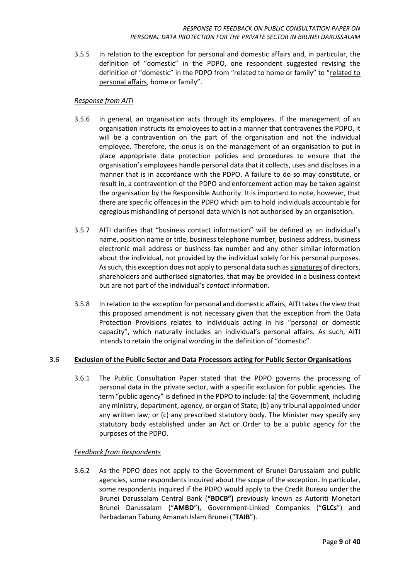3.5.5 In relation to the exception for personal and domestic affairs and, in particular, the definition of "domestic" in the PDPO, one respondent suggested revising the definition of "domestic" in the PDPO from "related to home or family" to "related to personal affairs, home or family".

#### *Response from AITI*

- 3.5.6 In general, an organisation acts through its employees. If the management of an organisation instructs its employees to act in a manner that contravenes the PDPO, it will be a contravention on the part of the organisation and not the individual employee. Therefore, the onus is on the management of an organisation to put in place appropriate data protection policies and procedures to ensure that the organisation's employees handle personal data that it collects, uses and discloses in a manner that is in accordance with the PDPO. A failure to do so may constitute, or result in, a contravention of the PDPO and enforcement action may be taken against the organisation by the Responsible Authority. It is important to note, however, that there are specific offences in the PDPO which aim to hold individuals accountable for egregious mishandling of personal data which is not authorised by an organisation.
- 3.5.7 AITI clarifies that "business contact information" will be defined as an individual's name, position name or title, business telephone number, business address, business electronic mail address or business fax number and any other similar information about the individual, not provided by the individual solely for his personal purposes. As such, this exception does not apply to personal data such as signatures of directors, shareholders and authorised signatories, that may be provided in a business context but are not part of the individual's *contact* information.
- 3.5.8 In relation to the exception for personal and domestic affairs, AITI takes the view that this proposed amendment is not necessary given that the exception from the Data Protection Provisions relates to individuals acting in his "personal or domestic capacity", which naturally includes an individual's personal affairs. As such, AITI intends to retain the original wording in the definition of "domestic".

#### <span id="page-8-0"></span>3.6 **Exclusion of the Public Sector and Data Processors acting for Public Sector Organisations**

3.6.1 The Public Consultation Paper stated that the PDPO governs the processing of personal data in the private sector, with a specific exclusion for public agencies. The term "public agency" is defined in the PDPO to include: (a) the Government, including any ministry, department, agency, or organ of State; (b) any tribunal appointed under any written law; or (c) any prescribed statutory body. The Minister may specify any statutory body established under an Act or Order to be a public agency for the purposes of the PDPO.

#### *Feedback from Respondents*

3.6.2 As the PDPO does not apply to the Government of Brunei Darussalam and public agencies, some respondents inquired about the scope of the exception. In particular, some respondents inquired if the PDPO would apply to the Credit Bureau under the Brunei Darussalam Central Bank (**"BDCB")** previously known as Autoriti Monetari Brunei Darussalam ("**AMBD**"), Government-Linked Companies ("**GLCs**") and Perbadanan Tabung Amanah Islam Brunei ("**TAIB**").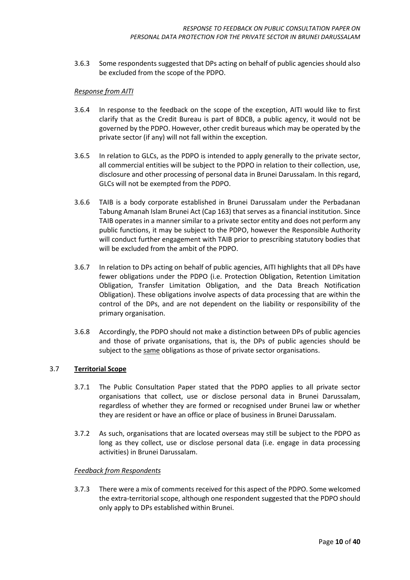3.6.3 Some respondents suggested that DPs acting on behalf of public agencies should also be excluded from the scope of the PDPO.

#### *Response from AITI*

- 3.6.4 In response to the feedback on the scope of the exception, AITI would like to first clarify that as the Credit Bureau is part of BDCB, a public agency, it would not be governed by the PDPO. However, other credit bureaus which may be operated by the private sector (if any) will not fall within the exception.
- 3.6.5 In relation to GLCs, as the PDPO is intended to apply generally to the private sector, all commercial entities will be subject to the PDPO in relation to their collection, use, disclosure and other processing of personal data in Brunei Darussalam. In this regard, GLCs will not be exempted from the PDPO.
- 3.6.6 TAIB is a body corporate established in Brunei Darussalam under the Perbadanan Tabung Amanah Islam Brunei Act (Cap 163) that serves as a financial institution. Since TAIB operates in a manner similar to a private sector entity and does not perform any public functions, it may be subject to the PDPO, however the Responsible Authority will conduct further engagement with TAIB prior to prescribing statutory bodies that will be excluded from the ambit of the PDPO.
- 3.6.7 In relation to DPs acting on behalf of public agencies, AITI highlights that all DPs have fewer obligations under the PDPO (i.e. Protection Obligation, Retention Limitation Obligation, Transfer Limitation Obligation, and the Data Breach Notification Obligation). These obligations involve aspects of data processing that are within the control of the DPs, and are not dependent on the liability or responsibility of the primary organisation.
- 3.6.8 Accordingly, the PDPO should not make a distinction between DPs of public agencies and those of private organisations, that is, the DPs of public agencies should be subject to the same obligations as those of private sector organisations.

#### <span id="page-9-0"></span>3.7 **Territorial Scope**

- 3.7.1 The Public Consultation Paper stated that the PDPO applies to all private sector organisations that collect, use or disclose personal data in Brunei Darussalam, regardless of whether they are formed or recognised under Brunei law or whether they are resident or have an office or place of business in Brunei Darussalam.
- 3.7.2 As such, organisations that are located overseas may still be subject to the PDPO as long as they collect, use or disclose personal data (i.e. engage in data processing activities) in Brunei Darussalam.

#### *Feedback from Respondents*

3.7.3 There were a mix of comments received for this aspect of the PDPO. Some welcomed the extra-territorial scope, although one respondent suggested that the PDPO should only apply to DPs established within Brunei.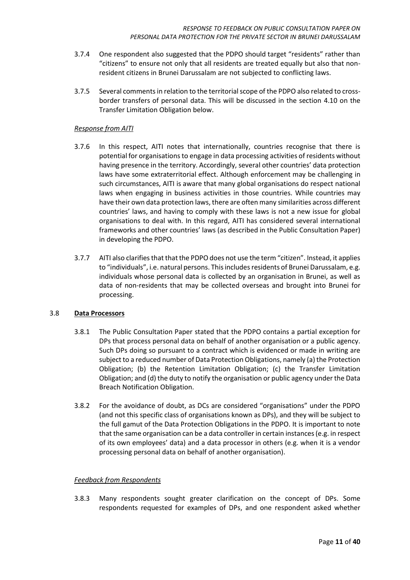- 3.7.4 One respondent also suggested that the PDPO should target "residents" rather than "citizens" to ensure not only that all residents are treated equally but also that nonresident citizens in Brunei Darussalam are not subjected to conflicting laws.
- 3.7.5 Several comments in relation to the territorial scope of the PDPO also related to crossborder transfers of personal data. This will be discussed in the section 4.10 on the Transfer Limitation Obligation below.

- 3.7.6 In this respect, AITI notes that internationally, countries recognise that there is potential for organisations to engage in data processing activities of residents without having presence in the territory. Accordingly, several other countries' data protection laws have some extraterritorial effect. Although enforcement may be challenging in such circumstances, AITI is aware that many global organisations do respect national laws when engaging in business activities in those countries. While countries may have their own data protection laws, there are often many similarities across different countries' laws, and having to comply with these laws is not a new issue for global organisations to deal with. In this regard, AITI has considered several international frameworks and other countries' laws (as described in the Public Consultation Paper) in developing the PDPO.
- 3.7.7 AITI also clarifies that that the PDPO does not use the term "citizen". Instead, it applies to "individuals", i.e. natural persons. This includes residents of Brunei Darussalam, e.g. individuals whose personal data is collected by an organisation in Brunei, as well as data of non-residents that may be collected overseas and brought into Brunei for processing.

#### <span id="page-10-0"></span>3.8 **Data Processors**

- 3.8.1 The Public Consultation Paper stated that the PDPO contains a partial exception for DPs that process personal data on behalf of another organisation or a public agency. Such DPs doing so pursuant to a contract which is evidenced or made in writing are subject to a reduced number of Data Protection Obligations, namely (a) the Protection Obligation; (b) the Retention Limitation Obligation; (c) the Transfer Limitation Obligation; and (d) the duty to notify the organisation or public agency under the Data Breach Notification Obligation.
- 3.8.2 For the avoidance of doubt, as DCs are considered "organisations" under the PDPO (and not this specific class of organisations known as DPs), and they will be subject to the full gamut of the Data Protection Obligations in the PDPO. It is important to note that the same organisation can be a data controller in certain instances (e.g. in respect of its own employees' data) and a data processor in others (e.g. when it is a vendor processing personal data on behalf of another organisation).

#### *Feedback from Respondents*

3.8.3 Many respondents sought greater clarification on the concept of DPs. Some respondents requested for examples of DPs, and one respondent asked whether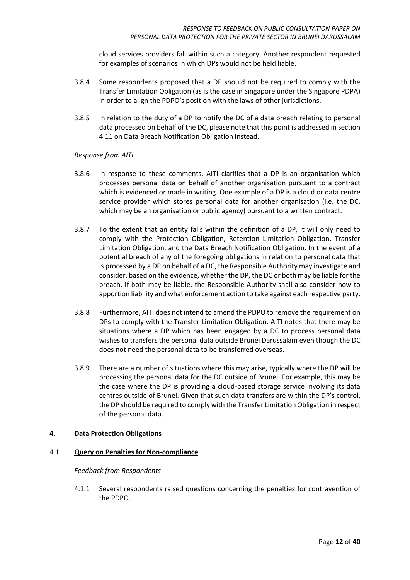cloud services providers fall within such a category. Another respondent requested for examples of scenarios in which DPs would not be held liable.

- 3.8.4 Some respondents proposed that a DP should not be required to comply with the Transfer Limitation Obligation (as is the case in Singapore under the Singapore PDPA) in order to align the PDPO's position with the laws of other jurisdictions.
- 3.8.5 In relation to the duty of a DP to notify the DC of a data breach relating to personal data processed on behalf of the DC, please note that this point is addressed in section 4.11 on Data Breach Notification Obligation instead.

#### *Response from AITI*

- 3.8.6 In response to these comments, AITI clarifies that a DP is an organisation which processes personal data on behalf of another organisation pursuant to a contract which is evidenced or made in writing. One example of a DP is a cloud or data centre service provider which stores personal data for another organisation (i.e. the DC, which may be an organisation or public agency) pursuant to a written contract.
- 3.8.7 To the extent that an entity falls within the definition of a DP, it will only need to comply with the Protection Obligation, Retention Limitation Obligation, Transfer Limitation Obligation, and the Data Breach Notification Obligation. In the event of a potential breach of any of the foregoing obligations in relation to personal data that is processed by a DP on behalf of a DC, the Responsible Authority may investigate and consider, based on the evidence, whether the DP, the DC or both may be liable for the breach. If both may be liable, the Responsible Authority shall also consider how to apportion liability and what enforcement action to take against each respective party.
- 3.8.8 Furthermore, AITI does not intend to amend the PDPO to remove the requirement on DPs to comply with the Transfer Limitation Obligation. AITI notes that there may be situations where a DP which has been engaged by a DC to process personal data wishes to transfers the personal data outside Brunei Darussalam even though the DC does not need the personal data to be transferred overseas.
- 3.8.9 There are a number of situations where this may arise, typically where the DP will be processing the personal data for the DC outside of Brunei. For example, this may be the case where the DP is providing a cloud-based storage service involving its data centres outside of Brunei. Given that such data transfers are within the DP's control, the DP should be required to comply with the Transfer Limitation Obligation in respect of the personal data.

#### <span id="page-11-0"></span>**4. Data Protection Obligations**

#### <span id="page-11-1"></span>4.1 **Query on Penalties for Non-compliance**

#### *Feedback from Respondents*

4.1.1 Several respondents raised questions concerning the penalties for contravention of the PDPO.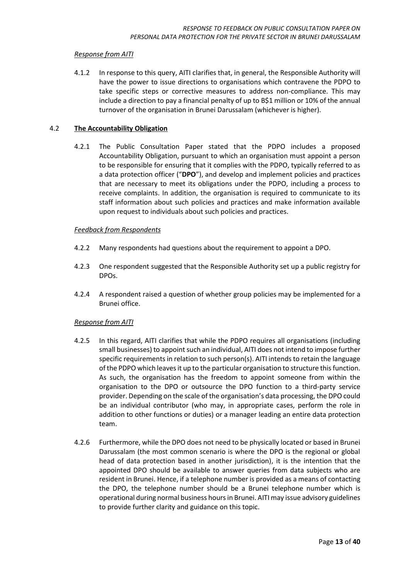4.1.2 In response to this query, AITI clarifies that, in general, the Responsible Authority will have the power to issue directions to organisations which contravene the PDPO to take specific steps or corrective measures to address non-compliance. This may include a direction to pay a financial penalty of up to B\$1 million or 10% of the annual turnover of the organisation in Brunei Darussalam (whichever is higher).

#### <span id="page-12-0"></span>4.2 **The Accountability Obligation**

4.2.1 The Public Consultation Paper stated that the PDPO includes a proposed Accountability Obligation, pursuant to which an organisation must appoint a person to be responsible for ensuring that it complies with the PDPO, typically referred to as a data protection officer ("**DPO**"), and develop and implement policies and practices that are necessary to meet its obligations under the PDPO, including a process to receive complaints. In addition, the organisation is required to communicate to its staff information about such policies and practices and make information available upon request to individuals about such policies and practices.

#### *Feedback from Respondents*

- 4.2.2 Many respondents had questions about the requirement to appoint a DPO.
- 4.2.3 One respondent suggested that the Responsible Authority set up a public registry for DPOs.
- 4.2.4 A respondent raised a question of whether group policies may be implemented for a Brunei office.

#### *Response from AITI*

- 4.2.5 In this regard, AITI clarifies that while the PDPO requires all organisations (including small businesses) to appoint such an individual, AITI does not intend to impose further specific requirements in relation to such person(s). AITI intends to retain the language of the PDPO which leaves it up to the particular organisation to structure this function. As such, the organisation has the freedom to appoint someone from within the organisation to the DPO or outsource the DPO function to a third-party service provider. Depending on the scale of the organisation's data processing, the DPO could be an individual contributor (who may, in appropriate cases, perform the role in addition to other functions or duties) or a manager leading an entire data protection team.
- 4.2.6 Furthermore, while the DPO does not need to be physically located or based in Brunei Darussalam (the most common scenario is where the DPO is the regional or global head of data protection based in another jurisdiction), it is the intention that the appointed DPO should be available to answer queries from data subjects who are resident in Brunei. Hence, if a telephone number is provided as a means of contacting the DPO, the telephone number should be a Brunei telephone number which is operational during normal business hoursin Brunei. AITI may issue advisory guidelines to provide further clarity and guidance on this topic.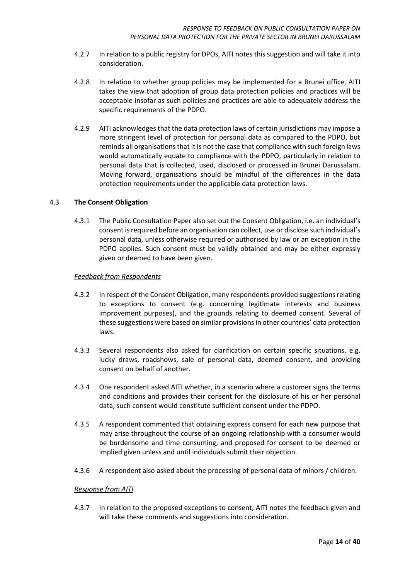- 4.2.7 In relation to a public registry for DPOs, AITI notes this suggestion and will take it into consideration.
- 4.2.8 In relation to whether group policies may be implemented for a Brunei office, AITI takes the view that adoption of group data protection policies and practices will be acceptable insofar as such policies and practices are able to adequately address the specific requirements of the PDPO.
- 4.2.9 AITI acknowledges that the data protection laws of certain jurisdictions may impose a more stringent level of protection for personal data as compared to the PDPO, but reminds all organisations that it is not the case that compliance with such foreign laws would automatically equate to compliance with the PDPO, particularly in relation to personal data that is collected, used, disclosed or processed in Brunei Darussalam. Moving forward, organisations should be mindful of the differences in the data protection requirements under the applicable data protection laws.

#### <span id="page-13-0"></span>4.3 **The Consent Obligation**

4.3.1 The Public Consultation Paper also set out the Consent Obligation, i.e. an individual's consent is required before an organisation can collect, use or disclose such individual's personal data, unless otherwise required or authorised by law or an exception in the PDPO applies. Such consent must be validly obtained and may be either expressly given or deemed to have been given.

#### *Feedback from Respondents*

- 4.3.2 In respect of the Consent Obligation, many respondents provided suggestions relating to exceptions to consent (e.g. concerning legitimate interests and business improvement purposes), and the grounds relating to deemed consent. Several of these suggestions were based on similar provisionsin other countries' data protection laws.
- 4.3.3 Several respondents also asked for clarification on certain specific situations, e.g. lucky draws, roadshows, sale of personal data, deemed consent, and providing consent on behalf of another.
- 4.3.4 One respondent asked AITI whether, in a scenario where a customer signs the terms and conditions and provides their consent for the disclosure of his or her personal data, such consent would constitute sufficient consent under the PDPO.
- 4.3.5 A respondent commented that obtaining express consent for each new purpose that may arise throughout the course of an ongoing relationship with a consumer would be burdensome and time consuming, and proposed for consent to be deemed or implied given unless and until individuals submit their objection.
- 4.3.6 A respondent also asked about the processing of personal data of minors / children.

#### *Response from AITI*

4.3.7 In relation to the proposed exceptions to consent, AITI notes the feedback given and will take these comments and suggestions into consideration.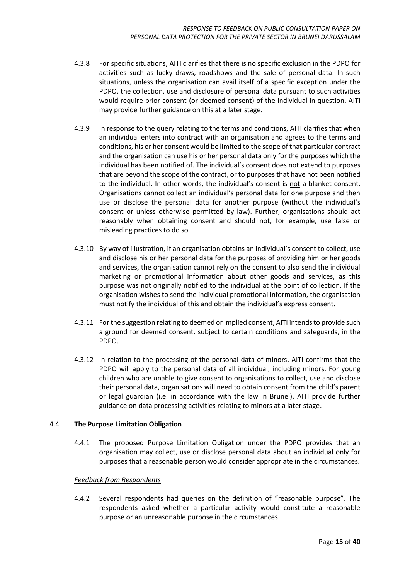- 4.3.8 For specific situations, AITI clarifies that there is no specific exclusion in the PDPO for activities such as lucky draws, roadshows and the sale of personal data. In such situations, unless the organisation can avail itself of a specific exception under the PDPO, the collection, use and disclosure of personal data pursuant to such activities would require prior consent (or deemed consent) of the individual in question. AITI may provide further guidance on this at a later stage.
- 4.3.9 In response to the query relating to the terms and conditions, AITI clarifies that when an individual enters into contract with an organisation and agrees to the terms and conditions, his or her consent would be limited to the scope of that particular contract and the organisation can use his or her personal data only for the purposes which the individual has been notified of. The individual's consent does not extend to purposes that are beyond the scope of the contract, or to purposes that have not been notified to the individual. In other words, the individual's consent is not a blanket consent. Organisations cannot collect an individual's personal data for one purpose and then use or disclose the personal data for another purpose (without the individual's consent or unless otherwise permitted by law). Further, organisations should act reasonably when obtaining consent and should not, for example, use false or misleading practices to do so.
- 4.3.10 By way of illustration, if an organisation obtains an individual's consent to collect, use and disclose his or her personal data for the purposes of providing him or her goods and services, the organisation cannot rely on the consent to also send the individual marketing or promotional information about other goods and services, as this purpose was not originally notified to the individual at the point of collection. If the organisation wishes to send the individual promotional information, the organisation must notify the individual of this and obtain the individual's express consent.
- 4.3.11 For the suggestion relating to deemed or implied consent, AITI intends to provide such a ground for deemed consent, subject to certain conditions and safeguards, in the PDPO.
- 4.3.12 In relation to the processing of the personal data of minors, AITI confirms that the PDPO will apply to the personal data of all individual, including minors. For young children who are unable to give consent to organisations to collect, use and disclose their personal data, organisations will need to obtain consent from the child's parent or legal guardian (i.e. in accordance with the law in Brunei). AITI provide further guidance on data processing activities relating to minors at a later stage.

#### <span id="page-14-0"></span>4.4 **The Purpose Limitation Obligation**

4.4.1 The proposed Purpose Limitation Obligation under the PDPO provides that an organisation may collect, use or disclose personal data about an individual only for purposes that a reasonable person would consider appropriate in the circumstances.

#### *Feedback from Respondents*

4.4.2 Several respondents had queries on the definition of "reasonable purpose". The respondents asked whether a particular activity would constitute a reasonable purpose or an unreasonable purpose in the circumstances.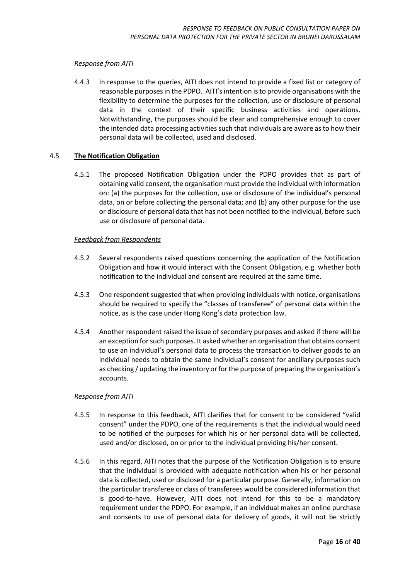4.4.3 In response to the queries, AITI does not intend to provide a fixed list or category of reasonable purposes in the PDPO. AITI's intention is to provide organisations with the flexibility to determine the purposes for the collection, use or disclosure of personal data in the context of their specific business activities and operations. Notwithstanding, the purposes should be clear and comprehensive enough to cover the intended data processing activities such that individuals are aware as to how their personal data will be collected, used and disclosed.

#### <span id="page-15-0"></span>4.5 **The Notification Obligation**

4.5.1 The proposed Notification Obligation under the PDPO provides that as part of obtaining valid consent, the organisation must provide the individual with information on: (a) the purposes for the collection, use or disclosure of the individual's personal data, on or before collecting the personal data; and (b) any other purpose for the use or disclosure of personal data that has not been notified to the individual, before such use or disclosure of personal data.

#### *Feedback from Respondents*

- 4.5.2 Several respondents raised questions concerning the application of the Notification Obligation and how it would interact with the Consent Obligation, e.g. whether both notification to the individual and consent are required at the same time.
- 4.5.3 One respondent suggested that when providing individuals with notice, organisations should be required to specify the "classes of transferee" of personal data within the notice, as is the case under Hong Kong's data protection law.
- 4.5.4 Another respondent raised the issue of secondary purposes and asked if there will be an exception for such purposes. It asked whether an organisation that obtains consent to use an individual's personal data to process the transaction to deliver goods to an individual needs to obtain the same individual's consent for ancillary purposes such as checking / updating the inventory or for the purpose of preparing the organisation's accounts.

#### *Response from AITI*

- 4.5.5 In response to this feedback, AITI clarifies that for consent to be considered "valid consent" under the PDPO, one of the requirements is that the individual would need to be notified of the purposes for which his or her personal data will be collected, used and/or disclosed, on or prior to the individual providing his/her consent.
- 4.5.6 In this regard, AITI notes that the purpose of the Notification Obligation is to ensure that the individual is provided with adequate notification when his or her personal data is collected, used or disclosed for a particular purpose. Generally, information on the particular transferee or class of transferees would be considered information that is good-to-have. However, AITI does not intend for this to be a mandatory requirement under the PDPO. For example, if an individual makes an online purchase and consents to use of personal data for delivery of goods, it will not be strictly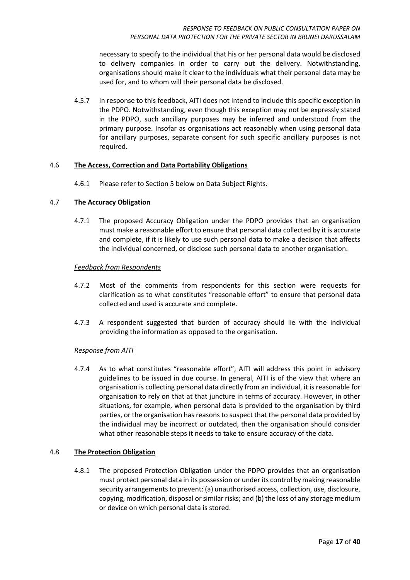necessary to specify to the individual that his or her personal data would be disclosed to delivery companies in order to carry out the delivery. Notwithstanding, organisations should make it clear to the individuals what their personal data may be used for, and to whom will their personal data be disclosed.

4.5.7 In response to this feedback, AITI does not intend to include this specific exception in the PDPO. Notwithstanding, even though this exception may not be expressly stated in the PDPO, such ancillary purposes may be inferred and understood from the primary purpose. Insofar as organisations act reasonably when using personal data for ancillary purposes, separate consent for such specific ancillary purposes is not required.

#### <span id="page-16-0"></span>4.6 **The Access, Correction and Data Portability Obligations**

4.6.1 Please refer to Section 5 below on Data Subject Rights.

#### <span id="page-16-1"></span>4.7 **The Accuracy Obligation**

4.7.1 The proposed Accuracy Obligation under the PDPO provides that an organisation must make a reasonable effort to ensure that personal data collected by it is accurate and complete, if it is likely to use such personal data to make a decision that affects the individual concerned, or disclose such personal data to another organisation.

#### *Feedback from Respondents*

- 4.7.2 Most of the comments from respondents for this section were requests for clarification as to what constitutes "reasonable effort" to ensure that personal data collected and used is accurate and complete.
- 4.7.3 A respondent suggested that burden of accuracy should lie with the individual providing the information as opposed to the organisation.

#### *Response from AITI*

4.7.4 As to what constitutes "reasonable effort", AITI will address this point in advisory guidelines to be issued in due course. In general, AITI is of the view that where an organisation is collecting personal data directly from an individual, it is reasonable for organisation to rely on that at that juncture in terms of accuracy. However, in other situations, for example, when personal data is provided to the organisation by third parties, or the organisation has reasons to suspect that the personal data provided by the individual may be incorrect or outdated, then the organisation should consider what other reasonable steps it needs to take to ensure accuracy of the data.

#### <span id="page-16-2"></span>4.8 **The Protection Obligation**

4.8.1 The proposed Protection Obligation under the PDPO provides that an organisation must protect personal data in its possession or under its control by making reasonable security arrangements to prevent: (a) unauthorised access, collection, use, disclosure, copying, modification, disposal or similar risks; and (b) the loss of any storage medium or device on which personal data is stored.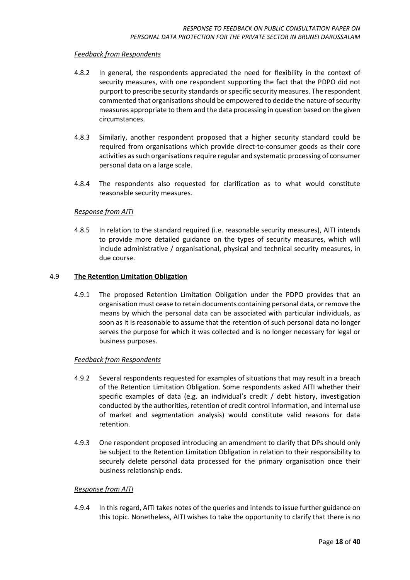#### *Feedback from Respondents*

- 4.8.2 In general, the respondents appreciated the need for flexibility in the context of security measures, with one respondent supporting the fact that the PDPO did not purport to prescribe security standards or specific security measures. The respondent commented that organisations should be empowered to decide the nature of security measures appropriate to them and the data processing in question based on the given circumstances.
- 4.8.3 Similarly, another respondent proposed that a higher security standard could be required from organisations which provide direct-to-consumer goods as their core activities as such organisations require regular and systematic processing of consumer personal data on a large scale.
- 4.8.4 The respondents also requested for clarification as to what would constitute reasonable security measures.

#### *Response from AITI*

4.8.5 In relation to the standard required (i.e. reasonable security measures), AITI intends to provide more detailed guidance on the types of security measures, which will include administrative / organisational, physical and technical security measures, in due course.

#### <span id="page-17-0"></span>4.9 **The Retention Limitation Obligation**

4.9.1 The proposed Retention Limitation Obligation under the PDPO provides that an organisation must cease to retain documents containing personal data, or remove the means by which the personal data can be associated with particular individuals, as soon as it is reasonable to assume that the retention of such personal data no longer serves the purpose for which it was collected and is no longer necessary for legal or business purposes.

#### *Feedback from Respondents*

- 4.9.2 Several respondents requested for examples of situations that may result in a breach of the Retention Limitation Obligation. Some respondents asked AITI whether their specific examples of data (e.g. an individual's credit / debt history, investigation conducted by the authorities, retention of credit control information, and internal use of market and segmentation analysis) would constitute valid reasons for data retention.
- 4.9.3 One respondent proposed introducing an amendment to clarify that DPs should only be subject to the Retention Limitation Obligation in relation to their responsibility to securely delete personal data processed for the primary organisation once their business relationship ends.

#### *Response from AITI*

4.9.4 In this regard, AITI takes notes of the queries and intends to issue further guidance on this topic. Nonetheless, AITI wishes to take the opportunity to clarify that there is no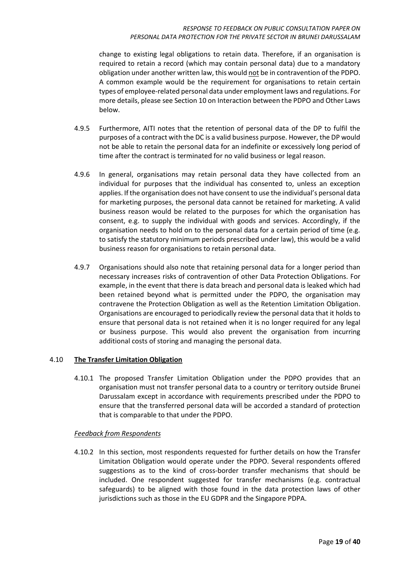#### *RESPONSE TO FEEDBACK ON PUBLIC CONSULTATION PAPER ON PERSONAL DATA PROTECTION FOR THE PRIVATE SECTOR IN BRUNEI DARUSSALAM*

change to existing legal obligations to retain data. Therefore, if an organisation is required to retain a record (which may contain personal data) due to a mandatory obligation under another written law, this would not be in contravention of the PDPO. A common example would be the requirement for organisations to retain certain types of employee-related personal data under employment laws and regulations. For more details, please see Section 10 on Interaction between the PDPO and Other Laws below.

- 4.9.5 Furthermore, AITI notes that the retention of personal data of the DP to fulfil the purposes of a contract with the DC is a valid business purpose. However, the DP would not be able to retain the personal data for an indefinite or excessively long period of time after the contract is terminated for no valid business or legal reason.
- 4.9.6 In general, organisations may retain personal data they have collected from an individual for purposes that the individual has consented to, unless an exception applies. If the organisation does not have consent to use the individual's personal data for marketing purposes, the personal data cannot be retained for marketing. A valid business reason would be related to the purposes for which the organisation has consent, e.g. to supply the individual with goods and services. Accordingly, if the organisation needs to hold on to the personal data for a certain period of time (e.g. to satisfy the statutory minimum periods prescribed under law), this would be a valid business reason for organisations to retain personal data.
- 4.9.7 Organisations should also note that retaining personal data for a longer period than necessary increases risks of contravention of other Data Protection Obligations. For example, in the event that there is data breach and personal data is leaked which had been retained beyond what is permitted under the PDPO, the organisation may contravene the Protection Obligation as well as the Retention Limitation Obligation. Organisations are encouraged to periodically review the personal data that it holds to ensure that personal data is not retained when it is no longer required for any legal or business purpose. This would also prevent the organisation from incurring additional costs of storing and managing the personal data.

#### <span id="page-18-0"></span>4.10 **The Transfer Limitation Obligation**

4.10.1 The proposed Transfer Limitation Obligation under the PDPO provides that an organisation must not transfer personal data to a country or territory outside Brunei Darussalam except in accordance with requirements prescribed under the PDPO to ensure that the transferred personal data will be accorded a standard of protection that is comparable to that under the PDPO.

#### *Feedback from Respondents*

4.10.2 In this section, most respondents requested for further details on how the Transfer Limitation Obligation would operate under the PDPO. Several respondents offered suggestions as to the kind of cross-border transfer mechanisms that should be included. One respondent suggested for transfer mechanisms (e.g. contractual safeguards) to be aligned with those found in the data protection laws of other jurisdictions such as those in the EU GDPR and the Singapore PDPA.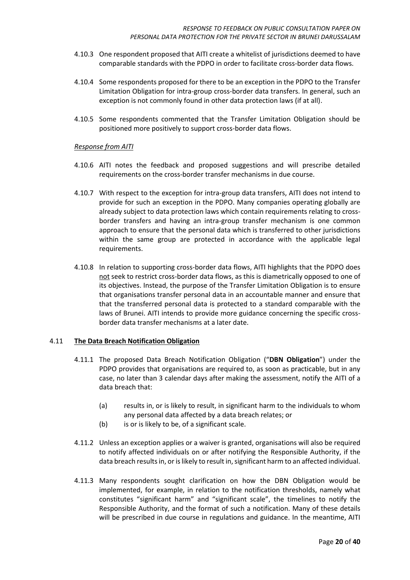- 4.10.3 One respondent proposed that AITI create a whitelist of jurisdictions deemed to have comparable standards with the PDPO in order to facilitate cross-border data flows.
- 4.10.4 Some respondents proposed for there to be an exception in the PDPO to the Transfer Limitation Obligation for intra-group cross-border data transfers. In general, such an exception is not commonly found in other data protection laws (if at all).
- 4.10.5 Some respondents commented that the Transfer Limitation Obligation should be positioned more positively to support cross-border data flows.

- 4.10.6 AITI notes the feedback and proposed suggestions and will prescribe detailed requirements on the cross-border transfer mechanisms in due course.
- 4.10.7 With respect to the exception for intra-group data transfers, AITI does not intend to provide for such an exception in the PDPO. Many companies operating globally are already subject to data protection laws which contain requirements relating to crossborder transfers and having an intra-group transfer mechanism is one common approach to ensure that the personal data which is transferred to other jurisdictions within the same group are protected in accordance with the applicable legal requirements.
- 4.10.8 In relation to supporting cross-border data flows, AITI highlights that the PDPO does not seek to restrict cross-border data flows, as this is diametrically opposed to one of its objectives. Instead, the purpose of the Transfer Limitation Obligation is to ensure that organisations transfer personal data in an accountable manner and ensure that that the transferred personal data is protected to a standard comparable with the laws of Brunei. AITI intends to provide more guidance concerning the specific crossborder data transfer mechanisms at a later date.

#### <span id="page-19-0"></span>4.11 **The Data Breach Notification Obligation**

- 4.11.1 The proposed Data Breach Notification Obligation ("**DBN Obligation**") under the PDPO provides that organisations are required to, as soon as practicable, but in any case, no later than 3 calendar days after making the assessment, notify the AITI of a data breach that:
	- (a) results in, or is likely to result, in significant harm to the individuals to whom any personal data affected by a data breach relates; or
	- (b) is or is likely to be, of a significant scale.
- 4.11.2 Unless an exception applies or a waiver is granted, organisations will also be required to notify affected individuals on or after notifying the Responsible Authority, if the data breach results in, or is likely to result in, significant harm to an affected individual.
- 4.11.3 Many respondents sought clarification on how the DBN Obligation would be implemented, for example, in relation to the notification thresholds, namely what constitutes "significant harm" and "significant scale", the timelines to notify the Responsible Authority, and the format of such a notification. Many of these details will be prescribed in due course in regulations and guidance. In the meantime, AITI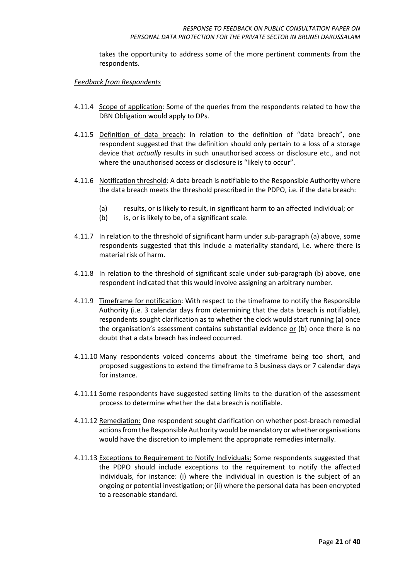takes the opportunity to address some of the more pertinent comments from the respondents.

#### *Feedback from Respondents*

- 4.11.4 Scope of application: Some of the queries from the respondents related to how the DBN Obligation would apply to DPs.
- 4.11.5 Definition of data breach: In relation to the definition of "data breach", one respondent suggested that the definition should only pertain to a loss of a storage device that *actually* results in such unauthorised access or disclosure etc., and not where the unauthorised access or disclosure is "likely to occur".
- 4.11.6 Notification threshold: A data breach is notifiable to the Responsible Authority where the data breach meets the threshold prescribed in the PDPO, i.e. if the data breach:
	- (a) results, or is likely to result, in significant harm to an affected individual; or
	- (b) is, or is likely to be, of a significant scale.
- 4.11.7 In relation to the threshold of significant harm under sub-paragraph (a) above, some respondents suggested that this include a materiality standard, i.e. where there is material risk of harm.
- 4.11.8 In relation to the threshold of significant scale under sub-paragraph (b) above, one respondent indicated that this would involve assigning an arbitrary number.
- 4.11.9 Timeframe for notification: With respect to the timeframe to notify the Responsible Authority (i.e. 3 calendar days from determining that the data breach is notifiable), respondents sought clarification as to whether the clock would start running (a) once the organisation's assessment contains substantial evidence or (b) once there is no doubt that a data breach has indeed occurred.
- 4.11.10 Many respondents voiced concerns about the timeframe being too short, and proposed suggestions to extend the timeframe to 3 business days or 7 calendar days for instance.
- 4.11.11 Some respondents have suggested setting limits to the duration of the assessment process to determine whether the data breach is notifiable.
- 4.11.12 Remediation: One respondent sought clarification on whether post-breach remedial actions from the Responsible Authority would be mandatory or whether organisations would have the discretion to implement the appropriate remedies internally.
- 4.11.13 Exceptions to Requirement to Notify Individuals: Some respondents suggested that the PDPO should include exceptions to the requirement to notify the affected individuals, for instance: (i) where the individual in question is the subject of an ongoing or potential investigation; or (ii) where the personal data has been encrypted to a reasonable standard.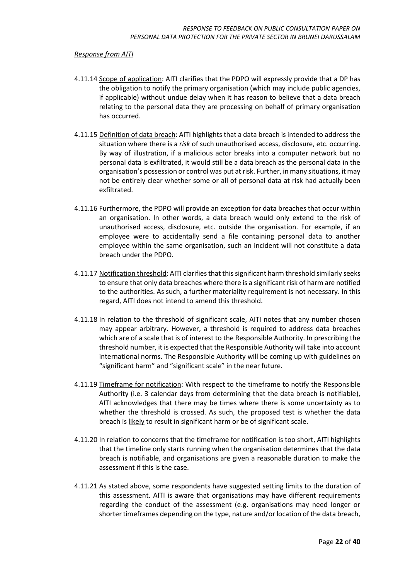- 4.11.14 Scope of application: AITI clarifies that the PDPO will expressly provide that a DP has the obligation to notify the primary organisation (which may include public agencies, if applicable) without undue delay when it has reason to believe that a data breach relating to the personal data they are processing on behalf of primary organisation has occurred.
- 4.11.15 Definition of data breach: AITI highlights that a data breach is intended to address the situation where there is a *risk* of such unauthorised access, disclosure, etc. occurring. By way of illustration, if a malicious actor breaks into a computer network but no personal data is exfiltrated, it would still be a data breach as the personal data in the organisation's possession or control was put at risk. Further, in many situations, it may not be entirely clear whether some or all of personal data at risk had actually been exfiltrated.
- 4.11.16 Furthermore, the PDPO will provide an exception for data breaches that occur within an organisation. In other words, a data breach would only extend to the risk of unauthorised access, disclosure, etc. outside the organisation. For example, if an employee were to accidentally send a file containing personal data to another employee within the same organisation, such an incident will not constitute a data breach under the PDPO.
- 4.11.17 Notification threshold: AITI clarifies that this significant harm threshold similarly seeks to ensure that only data breaches where there is a significant risk of harm are notified to the authorities. As such, a further materiality requirement is not necessary. In this regard, AITI does not intend to amend this threshold.
- 4.11.18 In relation to the threshold of significant scale, AITI notes that any number chosen may appear arbitrary. However, a threshold is required to address data breaches which are of a scale that is of interest to the Responsible Authority. In prescribing the threshold number, it is expected that the Responsible Authority will take into account international norms. The Responsible Authority will be coming up with guidelines on "significant harm" and "significant scale" in the near future.
- 4.11.19 Timeframe for notification: With respect to the timeframe to notify the Responsible Authority (i.e. 3 calendar days from determining that the data breach is notifiable), AITI acknowledges that there may be times where there is some uncertainty as to whether the threshold is crossed. As such, the proposed test is whether the data breach is likely to result in significant harm or be of significant scale.
- 4.11.20 In relation to concerns that the timeframe for notification is too short, AITI highlights that the timeline only starts running when the organisation determines that the data breach is notifiable, and organisations are given a reasonable duration to make the assessment if this is the case.
- 4.11.21 As stated above, some respondents have suggested setting limits to the duration of this assessment. AITI is aware that organisations may have different requirements regarding the conduct of the assessment (e.g. organisations may need longer or shorter timeframes depending on the type, nature and/or location of the data breach,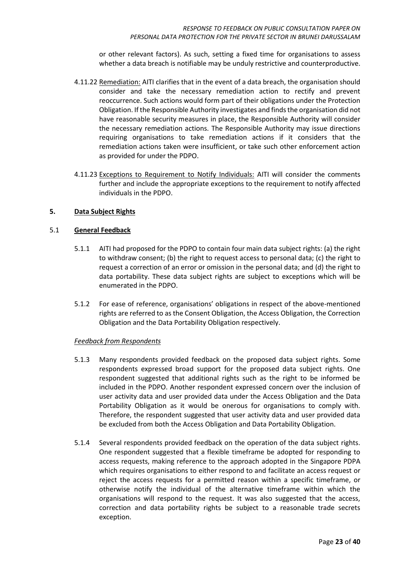or other relevant factors). As such, setting a fixed time for organisations to assess whether a data breach is notifiable may be unduly restrictive and counterproductive.

- 4.11.22 Remediation: AITI clarifies that in the event of a data breach, the organisation should consider and take the necessary remediation action to rectify and prevent reoccurrence. Such actions would form part of their obligations under the Protection Obligation. If the Responsible Authority investigates and finds the organisation did not have reasonable security measures in place, the Responsible Authority will consider the necessary remediation actions. The Responsible Authority may issue directions requiring organisations to take remediation actions if it considers that the remediation actions taken were insufficient, or take such other enforcement action as provided for under the PDPO.
- 4.11.23 Exceptions to Requirement to Notify Individuals: AITI will consider the comments further and include the appropriate exceptions to the requirement to notify affected individuals in the PDPO.

#### <span id="page-22-0"></span>**5. Data Subject Rights**

#### <span id="page-22-1"></span>5.1 **General Feedback**

- 5.1.1 AITI had proposed for the PDPO to contain four main data subject rights: (a) the right to withdraw consent; (b) the right to request access to personal data; (c) the right to request a correction of an error or omission in the personal data; and (d) the right to data portability. These data subject rights are subject to exceptions which will be enumerated in the PDPO.
- 5.1.2 For ease of reference, organisations' obligations in respect of the above-mentioned rights are referred to as the Consent Obligation, the Access Obligation, the Correction Obligation and the Data Portability Obligation respectively.

#### *Feedback from Respondents*

- 5.1.3 Many respondents provided feedback on the proposed data subject rights. Some respondents expressed broad support for the proposed data subject rights. One respondent suggested that additional rights such as the right to be informed be included in the PDPO. Another respondent expressed concern over the inclusion of user activity data and user provided data under the Access Obligation and the Data Portability Obligation as it would be onerous for organisations to comply with. Therefore, the respondent suggested that user activity data and user provided data be excluded from both the Access Obligation and Data Portability Obligation.
- 5.1.4 Several respondents provided feedback on the operation of the data subject rights. One respondent suggested that a flexible timeframe be adopted for responding to access requests, making reference to the approach adopted in the Singapore PDPA which requires organisations to either respond to and facilitate an access request or reject the access requests for a permitted reason within a specific timeframe, or otherwise notify the individual of the alternative timeframe within which the organisations will respond to the request. It was also suggested that the access, correction and data portability rights be subject to a reasonable trade secrets exception.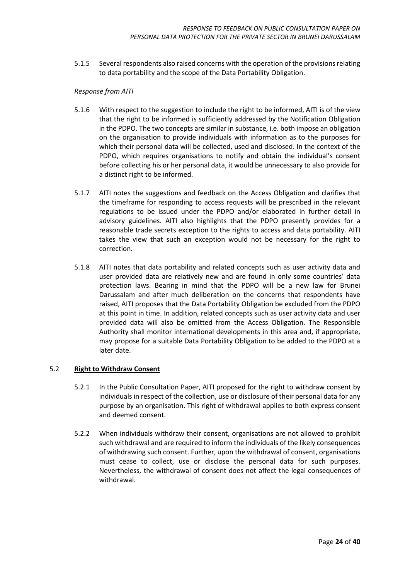5.1.5 Several respondents also raised concerns with the operation of the provisions relating to data portability and the scope of the Data Portability Obligation.

#### *Response from AITI*

- 5.1.6 With respect to the suggestion to include the right to be informed, AITI is of the view that the right to be informed is sufficiently addressed by the Notification Obligation in the PDPO. The two concepts are similar in substance, i.e. both impose an obligation on the organisation to provide individuals with information as to the purposes for which their personal data will be collected, used and disclosed. In the context of the PDPO, which requires organisations to notify and obtain the individual's consent before collecting his or her personal data, it would be unnecessary to also provide for a distinct right to be informed.
- 5.1.7 AITI notes the suggestions and feedback on the Access Obligation and clarifies that the timeframe for responding to access requests will be prescribed in the relevant regulations to be issued under the PDPO and/or elaborated in further detail in advisory guidelines. AITI also highlights that the PDPO presently provides for a reasonable trade secrets exception to the rights to access and data portability. AITI takes the view that such an exception would not be necessary for the right to correction.
- 5.1.8 AITI notes that data portability and related concepts such as user activity data and user provided data are relatively new and are found in only some countries' data protection laws. Bearing in mind that the PDPO will be a new law for Brunei Darussalam and after much deliberation on the concerns that respondents have raised, AITI proposes that the Data Portability Obligation be excluded from the PDPO at this point in time. In addition, related concepts such as user activity data and user provided data will also be omitted from the Access Obligation. The Responsible Authority shall monitor international developments in this area and, if appropriate, may propose for a suitable Data Portability Obligation to be added to the PDPO at a later date.

#### <span id="page-23-0"></span>5.2 **Right to Withdraw Consent**

- 5.2.1 In the Public Consultation Paper, AITI proposed for the right to withdraw consent by individuals in respect of the collection, use or disclosure of their personal data for any purpose by an organisation. This right of withdrawal applies to both express consent and deemed consent.
- 5.2.2 When individuals withdraw their consent, organisations are not allowed to prohibit such withdrawal and are required to inform the individuals of the likely consequences of withdrawing such consent. Further, upon the withdrawal of consent, organisations must cease to collect, use or disclose the personal data for such purposes. Nevertheless, the withdrawal of consent does not affect the legal consequences of withdrawal.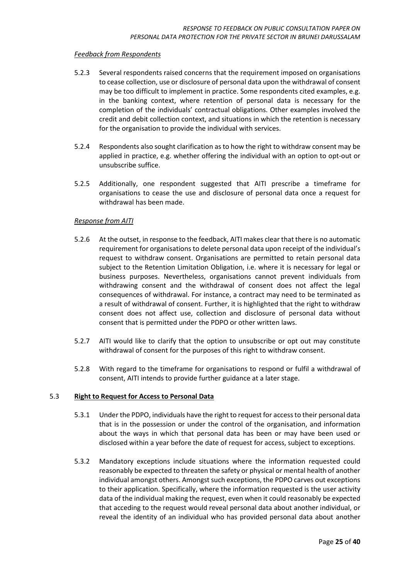#### *Feedback from Respondents*

- 5.2.3 Several respondents raised concerns that the requirement imposed on organisations to cease collection, use or disclosure of personal data upon the withdrawal of consent may be too difficult to implement in practice. Some respondents cited examples, e.g. in the banking context, where retention of personal data is necessary for the completion of the individuals' contractual obligations. Other examples involved the credit and debit collection context, and situations in which the retention is necessary for the organisation to provide the individual with services.
- 5.2.4 Respondents also sought clarification as to how the right to withdraw consent may be applied in practice, e.g. whether offering the individual with an option to opt-out or unsubscribe suffice.
- 5.2.5 Additionally, one respondent suggested that AITI prescribe a timeframe for organisations to cease the use and disclosure of personal data once a request for withdrawal has been made.

#### *Response from AITI*

- 5.2.6 At the outset, in response to the feedback, AITI makes clear that there is no automatic requirement for organisations to delete personal data upon receipt of the individual's request to withdraw consent. Organisations are permitted to retain personal data subject to the Retention Limitation Obligation, i.e. where it is necessary for legal or business purposes. Nevertheless, organisations cannot prevent individuals from withdrawing consent and the withdrawal of consent does not affect the legal consequences of withdrawal. For instance, a contract may need to be terminated as a result of withdrawal of consent. Further, it is highlighted that the right to withdraw consent does not affect use, collection and disclosure of personal data without consent that is permitted under the PDPO or other written laws.
- 5.2.7 AITI would like to clarify that the option to unsubscribe or opt out may constitute withdrawal of consent for the purposes of this right to withdraw consent.
- 5.2.8 With regard to the timeframe for organisations to respond or fulfil a withdrawal of consent, AITI intends to provide further guidance at a later stage.

#### <span id="page-24-0"></span>5.3 **Right to Request for Access to Personal Data**

- 5.3.1 Under the PDPO, individuals have the right to request for access to their personal data that is in the possession or under the control of the organisation, and information about the ways in which that personal data has been or may have been used or disclosed within a year before the date of request for access, subject to exceptions.
- 5.3.2 Mandatory exceptions include situations where the information requested could reasonably be expected to threaten the safety or physical or mental health of another individual amongst others. Amongst such exceptions, the PDPO carves out exceptions to their application. Specifically, where the information requested is the user activity data of the individual making the request, even when it could reasonably be expected that acceding to the request would reveal personal data about another individual, or reveal the identity of an individual who has provided personal data about another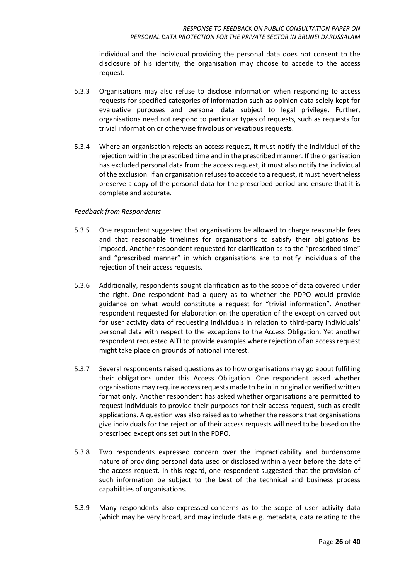individual and the individual providing the personal data does not consent to the disclosure of his identity, the organisation may choose to accede to the access request.

- 5.3.3 Organisations may also refuse to disclose information when responding to access requests for specified categories of information such as opinion data solely kept for evaluative purposes and personal data subject to legal privilege. Further, organisations need not respond to particular types of requests, such as requests for trivial information or otherwise frivolous or vexatious requests.
- 5.3.4 Where an organisation rejects an access request, it must notify the individual of the rejection within the prescribed time and in the prescribed manner. If the organisation has excluded personal data from the access request, it must also notify the individual of the exclusion. If an organisation refuses to accede to a request, it must nevertheless preserve a copy of the personal data for the prescribed period and ensure that it is complete and accurate.

#### *Feedback from Respondents*

- 5.3.5 One respondent suggested that organisations be allowed to charge reasonable fees and that reasonable timelines for organisations to satisfy their obligations be imposed. Another respondent requested for clarification as to the "prescribed time" and "prescribed manner" in which organisations are to notify individuals of the rejection of their access requests.
- 5.3.6 Additionally, respondents sought clarification as to the scope of data covered under the right. One respondent had a query as to whether the PDPO would provide guidance on what would constitute a request for "trivial information". Another respondent requested for elaboration on the operation of the exception carved out for user activity data of requesting individuals in relation to third-party individuals' personal data with respect to the exceptions to the Access Obligation. Yet another respondent requested AITI to provide examples where rejection of an access request might take place on grounds of national interest.
- 5.3.7 Several respondents raised questions as to how organisations may go about fulfilling their obligations under this Access Obligation. One respondent asked whether organisations may require access requests made to be in in original or verified written format only. Another respondent has asked whether organisations are permitted to request individuals to provide their purposes for their access request, such as credit applications. A question was also raised as to whether the reasons that organisations give individuals for the rejection of their access requests will need to be based on the prescribed exceptions set out in the PDPO.
- 5.3.8 Two respondents expressed concern over the impracticability and burdensome nature of providing personal data used or disclosed within a year before the date of the access request. In this regard, one respondent suggested that the provision of such information be subject to the best of the technical and business process capabilities of organisations.
- 5.3.9 Many respondents also expressed concerns as to the scope of user activity data (which may be very broad, and may include data e.g. metadata, data relating to the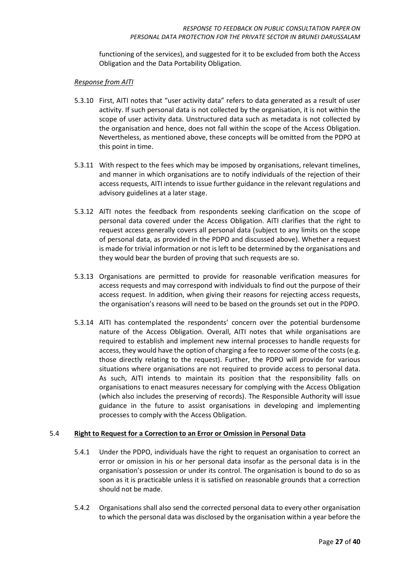functioning of the services), and suggested for it to be excluded from both the Access Obligation and the Data Portability Obligation.

#### *Response from AITI*

- 5.3.10 First, AITI notes that "user activity data" refers to data generated as a result of user activity. If such personal data is not collected by the organisation, it is not within the scope of user activity data. Unstructured data such as metadata is not collected by the organisation and hence, does not fall within the scope of the Access Obligation. Nevertheless, as mentioned above, these concepts will be omitted from the PDPO at this point in time.
- 5.3.11 With respect to the fees which may be imposed by organisations, relevant timelines, and manner in which organisations are to notify individuals of the rejection of their access requests, AITI intends to issue further guidance in the relevant regulations and advisory guidelines at a later stage.
- 5.3.12 AITI notes the feedback from respondents seeking clarification on the scope of personal data covered under the Access Obligation. AITI clarifies that the right to request access generally covers all personal data (subject to any limits on the scope of personal data, as provided in the PDPO and discussed above). Whether a request is made for trivial information or not is left to be determined by the organisations and they would bear the burden of proving that such requests are so.
- 5.3.13 Organisations are permitted to provide for reasonable verification measures for access requests and may correspond with individuals to find out the purpose of their access request. In addition, when giving their reasons for rejecting access requests, the organisation's reasons will need to be based on the grounds set out in the PDPO.
- 5.3.14 AITI has contemplated the respondents' concern over the potential burdensome nature of the Access Obligation. Overall, AITI notes that while organisations are required to establish and implement new internal processes to handle requests for access, they would have the option of charging a fee to recover some of the costs(e.g. those directly relating to the request). Further, the PDPO will provide for various situations where organisations are not required to provide access to personal data. As such, AITI intends to maintain its position that the responsibility falls on organisations to enact measures necessary for complying with the Access Obligation (which also includes the preserving of records). The Responsible Authority will issue guidance in the future to assist organisations in developing and implementing processes to comply with the Access Obligation.

#### <span id="page-26-0"></span>5.4 **Right to Request for a Correction to an Error or Omission in Personal Data**

- 5.4.1 Under the PDPO, individuals have the right to request an organisation to correct an error or omission in his or her personal data insofar as the personal data is in the organisation's possession or under its control. The organisation is bound to do so as soon as it is practicable unless it is satisfied on reasonable grounds that a correction should not be made.
- 5.4.2 Organisations shall also send the corrected personal data to every other organisation to which the personal data was disclosed by the organisation within a year before the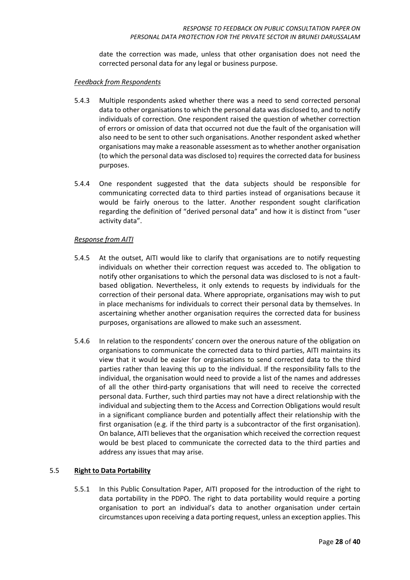date the correction was made, unless that other organisation does not need the corrected personal data for any legal or business purpose.

#### *Feedback from Respondents*

- 5.4.3 Multiple respondents asked whether there was a need to send corrected personal data to other organisations to which the personal data was disclosed to, and to notify individuals of correction. One respondent raised the question of whether correction of errors or omission of data that occurred not due the fault of the organisation will also need to be sent to other such organisations. Another respondent asked whether organisations may make a reasonable assessment as to whether another organisation (to which the personal data was disclosed to) requires the corrected data for business purposes.
- 5.4.4 One respondent suggested that the data subjects should be responsible for communicating corrected data to third parties instead of organisations because it would be fairly onerous to the latter. Another respondent sought clarification regarding the definition of "derived personal data" and how it is distinct from "user activity data".

#### *Response from AITI*

- 5.4.5 At the outset, AITI would like to clarify that organisations are to notify requesting individuals on whether their correction request was acceded to. The obligation to notify other organisations to which the personal data was disclosed to is not a faultbased obligation. Nevertheless, it only extends to requests by individuals for the correction of their personal data. Where appropriate, organisations may wish to put in place mechanisms for individuals to correct their personal data by themselves. In ascertaining whether another organisation requires the corrected data for business purposes, organisations are allowed to make such an assessment.
- 5.4.6 In relation to the respondents' concern over the onerous nature of the obligation on organisations to communicate the corrected data to third parties, AITI maintains its view that it would be easier for organisations to send corrected data to the third parties rather than leaving this up to the individual. If the responsibility falls to the individual, the organisation would need to provide a list of the names and addresses of all the other third-party organisations that will need to receive the corrected personal data. Further, such third parties may not have a direct relationship with the individual and subjecting them to the Access and Correction Obligations would result in a significant compliance burden and potentially affect their relationship with the first organisation (e.g. if the third party is a subcontractor of the first organisation). On balance, AITI believes that the organisation which received the correction request would be best placed to communicate the corrected data to the third parties and address any issues that may arise.

#### <span id="page-27-0"></span>5.5 **Right to Data Portability**

5.5.1 In this Public Consultation Paper, AITI proposed for the introduction of the right to data portability in the PDPO. The right to data portability would require a porting organisation to port an individual's data to another organisation under certain circumstances upon receiving a data porting request, unless an exception applies. This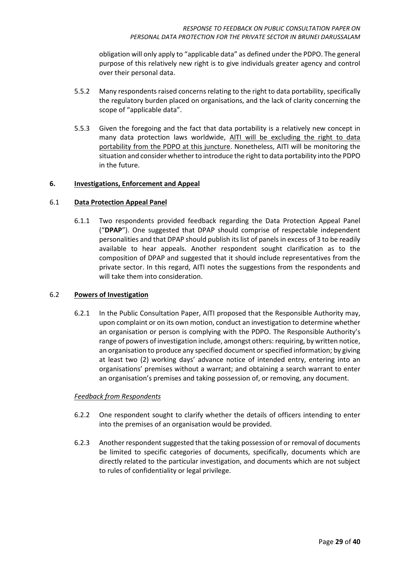obligation will only apply to "applicable data" as defined under the PDPO. The general purpose of this relatively new right is to give individuals greater agency and control over their personal data.

- 5.5.2 Many respondents raised concerns relating to the right to data portability, specifically the regulatory burden placed on organisations, and the lack of clarity concerning the scope of "applicable data".
- 5.5.3 Given the foregoing and the fact that data portability is a relatively new concept in many data protection laws worldwide, AITI will be excluding the right to data portability from the PDPO at this juncture. Nonetheless, AITI will be monitoring the situation and consider whether to introduce the right to data portability into the PDPO in the future.

#### <span id="page-28-0"></span>**6. Investigations, Enforcement and Appeal**

#### <span id="page-28-1"></span>6.1 **Data Protection Appeal Panel**

6.1.1 Two respondents provided feedback regarding the Data Protection Appeal Panel ("**DPAP**"). One suggested that DPAP should comprise of respectable independent personalities and that DPAP should publish its list of panels in excess of 3 to be readily available to hear appeals. Another respondent sought clarification as to the composition of DPAP and suggested that it should include representatives from the private sector. In this regard, AITI notes the suggestions from the respondents and will take them into consideration.

#### <span id="page-28-2"></span>6.2 **Powers of Investigation**

6.2.1 In the Public Consultation Paper, AITI proposed that the Responsible Authority may, upon complaint or on its own motion, conduct an investigation to determine whether an organisation or person is complying with the PDPO. The Responsible Authority's range of powers of investigation include, amongst others: requiring, by written notice, an organisation to produce any specified document or specified information; by giving at least two (2) working days' advance notice of intended entry, entering into an organisations' premises without a warrant; and obtaining a search warrant to enter an organisation's premises and taking possession of, or removing, any document.

#### *Feedback from Respondents*

- 6.2.2 One respondent sought to clarify whether the details of officers intending to enter into the premises of an organisation would be provided.
- 6.2.3 Another respondent suggested that the taking possession of or removal of documents be limited to specific categories of documents, specifically, documents which are directly related to the particular investigation, and documents which are not subject to rules of confidentiality or legal privilege.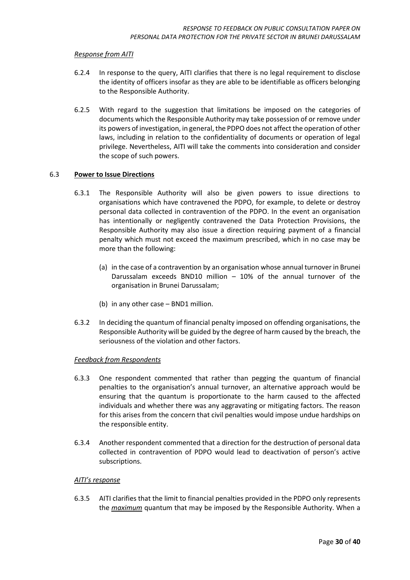- 6.2.4 In response to the query, AITI clarifies that there is no legal requirement to disclose the identity of officers insofar as they are able to be identifiable as officers belonging to the Responsible Authority.
- 6.2.5 With regard to the suggestion that limitations be imposed on the categories of documents which the Responsible Authority may take possession of or remove under its powers of investigation, in general, the PDPO does not affect the operation of other laws, including in relation to the confidentiality of documents or operation of legal privilege. Nevertheless, AITI will take the comments into consideration and consider the scope of such powers.

#### <span id="page-29-0"></span>6.3 **Power to Issue Directions**

- 6.3.1 The Responsible Authority will also be given powers to issue directions to organisations which have contravened the PDPO, for example, to delete or destroy personal data collected in contravention of the PDPO. In the event an organisation has intentionally or negligently contravened the Data Protection Provisions, the Responsible Authority may also issue a direction requiring payment of a financial penalty which must not exceed the maximum prescribed, which in no case may be more than the following:
	- (a) in the case of a contravention by an organisation whose annual turnover in Brunei Darussalam exceeds BND10 million – 10% of the annual turnover of the organisation in Brunei Darussalam;
	- (b) in any other case BND1 million.
- 6.3.2 In deciding the quantum of financial penalty imposed on offending organisations, the Responsible Authority will be guided by the degree of harm caused by the breach, the seriousness of the violation and other factors.

#### *Feedback from Respondents*

- 6.3.3 One respondent commented that rather than pegging the quantum of financial penalties to the organisation's annual turnover, an alternative approach would be ensuring that the quantum is proportionate to the harm caused to the affected individuals and whether there was any aggravating or mitigating factors. The reason for this arises from the concern that civil penalties would impose undue hardships on the responsible entity.
- 6.3.4 Another respondent commented that a direction for the destruction of personal data collected in contravention of PDPO would lead to deactivation of person's active subscriptions.

#### *AITI's response*

6.3.5 AITI clarifies that the limit to financial penalties provided in the PDPO only represents the *maximum* quantum that may be imposed by the Responsible Authority. When a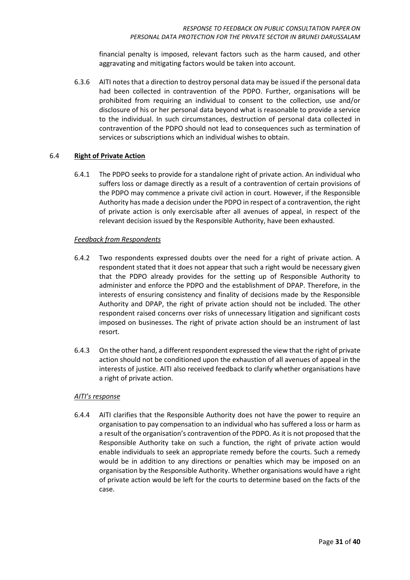financial penalty is imposed, relevant factors such as the harm caused, and other aggravating and mitigating factors would be taken into account.

6.3.6 AITI notes that a direction to destroy personal data may be issued if the personal data had been collected in contravention of the PDPO. Further, organisations will be prohibited from requiring an individual to consent to the collection, use and/or disclosure of his or her personal data beyond what is reasonable to provide a service to the individual. In such circumstances, destruction of personal data collected in contravention of the PDPO should not lead to consequences such as termination of services or subscriptions which an individual wishes to obtain.

#### <span id="page-30-0"></span>6.4 **Right of Private Action**

6.4.1 The PDPO seeks to provide for a standalone right of private action. An individual who suffers loss or damage directly as a result of a contravention of certain provisions of the PDPO may commence a private civil action in court. However, if the Responsible Authority has made a decision under the PDPO in respect of a contravention, the right of private action is only exercisable after all avenues of appeal, in respect of the relevant decision issued by the Responsible Authority, have been exhausted.

#### *Feedback from Respondents*

- 6.4.2 Two respondents expressed doubts over the need for a right of private action. A respondent stated that it does not appear that such a right would be necessary given that the PDPO already provides for the setting up of Responsible Authority to administer and enforce the PDPO and the establishment of DPAP. Therefore, in the interests of ensuring consistency and finality of decisions made by the Responsible Authority and DPAP, the right of private action should not be included. The other respondent raised concerns over risks of unnecessary litigation and significant costs imposed on businesses. The right of private action should be an instrument of last resort.
- 6.4.3 On the other hand, a different respondent expressed the view that the right of private action should not be conditioned upon the exhaustion of all avenues of appeal in the interests of justice. AITI also received feedback to clarify whether organisations have a right of private action.

#### *AITI's response*

<span id="page-30-1"></span>6.4.4 AITI clarifies that the Responsible Authority does not have the power to require an organisation to pay compensation to an individual who has suffered a loss or harm as a result of the organisation's contravention of the PDPO. As it is not proposed that the Responsible Authority take on such a function, the right of private action would enable individuals to seek an appropriate remedy before the courts. Such a remedy would be in addition to any directions or penalties which may be imposed on an organisation by the Responsible Authority. Whether organisations would have a right of private action would be left for the courts to determine based on the facts of the case.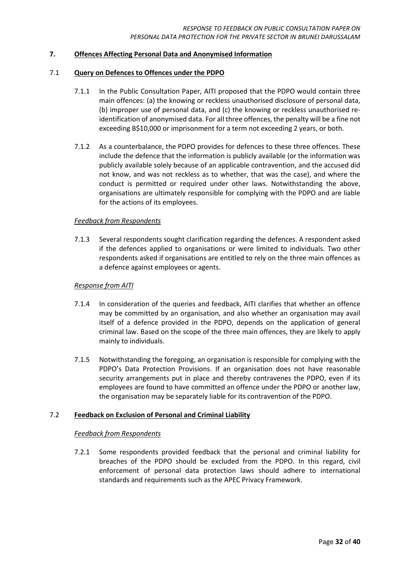#### **7. Offences Affecting Personal Data and Anonymised Information**

#### <span id="page-31-0"></span>7.1 **Query on Defences to Offences under the PDPO**

- 7.1.1 In the Public Consultation Paper, AITI proposed that the PDPO would contain three main offences: (a) the knowing or reckless unauthorised disclosure of personal data, (b) improper use of personal data, and (c) the knowing or reckless unauthorised reidentification of anonymised data. For all three offences, the penalty will be a fine not exceeding B\$10,000 or imprisonment for a term not exceeding 2 years, or both.
- 7.1.2 As a counterbalance, the PDPO provides for defences to these three offences. These include the defence that the information is publicly available (or the information was publicly available solely because of an applicable contravention, and the accused did not know, and was not reckless as to whether, that was the case), and where the conduct is permitted or required under other laws. Notwithstanding the above, organisations are ultimately responsible for complying with the PDPO and are liable for the actions of its employees.

#### *Feedback from Respondents*

7.1.3 Several respondents sought clarification regarding the defences. A respondent asked if the defences applied to organisations or were limited to individuals. Two other respondents asked if organisations are entitled to rely on the three main offences as a defence against employees or agents.

#### *Response from AITI*

- 7.1.4 In consideration of the queries and feedback, AITI clarifies that whether an offence may be committed by an organisation, and also whether an organisation may avail itself of a defence provided in the PDPO, depends on the application of general criminal law. Based on the scope of the three main offences, they are likely to apply mainly to individuals.
- 7.1.5 Notwithstanding the foregoing, an organisation is responsible for complying with the PDPO's Data Protection Provisions. If an organisation does not have reasonable security arrangements put in place and thereby contravenes the PDPO, even if its employees are found to have committed an offence under the PDPO or another law, the organisation may be separately liable for its contravention of the PDPO.

#### <span id="page-31-1"></span>7.2 **Feedback on Exclusion of Personal and Criminal Liability**

#### *Feedback from Respondents*

7.2.1 Some respondents provided feedback that the personal and criminal liability for breaches of the PDPO should be excluded from the PDPO. In this regard, civil enforcement of personal data protection laws should adhere to international standards and requirements such as the APEC Privacy Framework.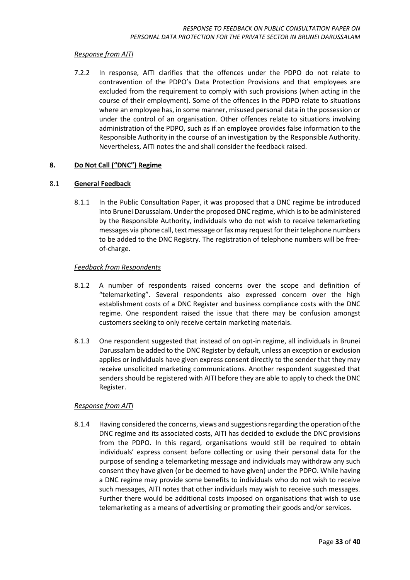7.2.2 In response, AITI clarifies that the offences under the PDPO do not relate to contravention of the PDPO's Data Protection Provisions and that employees are excluded from the requirement to comply with such provisions (when acting in the course of their employment). Some of the offences in the PDPO relate to situations where an employee has, in some manner, misused personal data in the possession or under the control of an organisation. Other offences relate to situations involving administration of the PDPO, such as if an employee provides false information to the Responsible Authority in the course of an investigation by the Responsible Authority. Nevertheless, AITI notes the and shall consider the feedback raised.

#### <span id="page-32-0"></span>**8. Do Not Call ("DNC") Regime**

#### <span id="page-32-1"></span>8.1 **General Feedback**

8.1.1 In the Public Consultation Paper, it was proposed that a DNC regime be introduced into Brunei Darussalam. Under the proposed DNC regime, which is to be administered by the Responsible Authority, individuals who do not wish to receive telemarketing messages via phone call, text message or fax may request for their telephone numbers to be added to the DNC Registry. The registration of telephone numbers will be freeof-charge.

#### *Feedback from Respondents*

- 8.1.2 A number of respondents raised concerns over the scope and definition of "telemarketing". Several respondents also expressed concern over the high establishment costs of a DNC Register and business compliance costs with the DNC regime. One respondent raised the issue that there may be confusion amongst customers seeking to only receive certain marketing materials.
- 8.1.3 One respondent suggested that instead of on opt-in regime, all individuals in Brunei Darussalam be added to the DNC Register by default, unless an exception or exclusion applies or individuals have given express consent directly to the sender that they may receive unsolicited marketing communications. Another respondent suggested that senders should be registered with AITI before they are able to apply to check the DNC Register.

#### *Response from AITI*

8.1.4 Having considered the concerns, views and suggestions regarding the operation of the DNC regime and its associated costs, AITI has decided to exclude the DNC provisions from the PDPO. In this regard, organisations would still be required to obtain individuals' express consent before collecting or using their personal data for the purpose of sending a telemarketing message and individuals may withdraw any such consent they have given (or be deemed to have given) under the PDPO. While having a DNC regime may provide some benefits to individuals who do not wish to receive such messages, AITI notes that other individuals may wish to receive such messages. Further there would be additional costs imposed on organisations that wish to use telemarketing as a means of advertising or promoting their goods and/or services.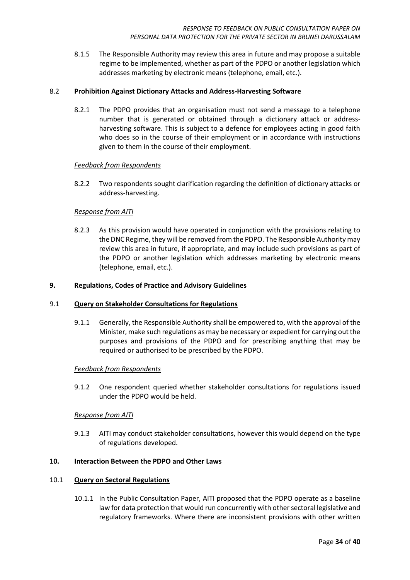8.1.5 The Responsible Authority may review this area in future and may propose a suitable regime to be implemented, whether as part of the PDPO or another legislation which addresses marketing by electronic means (telephone, email, etc.).

#### <span id="page-33-0"></span>8.2 **Prohibition Against Dictionary Attacks and Address-Harvesting Software**

8.2.1 The PDPO provides that an organisation must not send a message to a telephone number that is generated or obtained through a dictionary attack or addressharvesting software. This is subject to a defence for employees acting in good faith who does so in the course of their employment or in accordance with instructions given to them in the course of their employment.

#### *Feedback from Respondents*

8.2.2 Two respondents sought clarification regarding the definition of dictionary attacks or address-harvesting.

#### *Response from AITI*

8.2.3 As this provision would have operated in conjunction with the provisions relating to the DNC Regime, they will be removed from the PDPO. The Responsible Authority may review this area in future, if appropriate, and may include such provisions as part of the PDPO or another legislation which addresses marketing by electronic means (telephone, email, etc.).

#### <span id="page-33-1"></span>**9. Regulations, Codes of Practice and Advisory Guidelines**

#### <span id="page-33-2"></span>9.1 **Query on Stakeholder Consultations for Regulations**

9.1.1 Generally, the Responsible Authority shall be empowered to, with the approval of the Minister, make such regulations as may be necessary or expedient for carrying out the purposes and provisions of the PDPO and for prescribing anything that may be required or authorised to be prescribed by the PDPO.

#### *Feedback from Respondents*

9.1.2 One respondent queried whether stakeholder consultations for regulations issued under the PDPO would be held.

#### *Response from AITI*

9.1.3 AITI may conduct stakeholder consultations, however this would depend on the type of regulations developed.

#### <span id="page-33-3"></span>**10. Interaction Between the PDPO and Other Laws**

#### <span id="page-33-4"></span>10.1 **Query on Sectoral Regulations**

10.1.1 In the Public Consultation Paper, AITI proposed that the PDPO operate as a baseline law for data protection that would run concurrently with other sectoral legislative and regulatory frameworks. Where there are inconsistent provisions with other written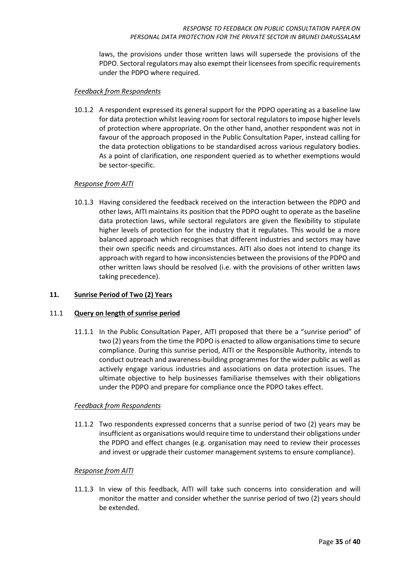laws, the provisions under those written laws will supersede the provisions of the PDPO. Sectoral regulators may also exempt their licensees from specific requirements under the PDPO where required.

#### *Feedback from Respondents*

10.1.2 A respondent expressed its general support for the PDPO operating as a baseline law for data protection whilst leaving room for sectoral regulators to impose higher levels of protection where appropriate. On the other hand, another respondent was not in favour of the approach proposed in the Public Consultation Paper, instead calling for the data protection obligations to be standardised across various regulatory bodies. As a point of clarification, one respondent queried as to whether exemptions would be sector-specific.

#### *Response from AITI*

10.1.3 Having considered the feedback received on the interaction between the PDPO and other laws, AITI maintains its position that the PDPO ought to operate as the baseline data protection laws, while sectoral regulators are given the flexibility to stipulate higher levels of protection for the industry that it regulates. This would be a more balanced approach which recognises that different industries and sectors may have their own specific needs and circumstances. AITI also does not intend to change its approach with regard to how inconsistencies between the provisions of the PDPO and other written laws should be resolved (i.e. with the provisions of other written laws taking precedence).

#### <span id="page-34-0"></span>**11. Sunrise Period of Two (2) Years**

#### <span id="page-34-1"></span>11.1 **Query on length of sunrise period**

11.1.1 In the Public Consultation Paper, AITI proposed that there be a "sunrise period" of two (2) years from the time the PDPO is enacted to allow organisations time to secure compliance. During this sunrise period, AITI or the Responsible Authority, intends to conduct outreach and awareness-building programmes for the wider public as well as actively engage various industries and associations on data protection issues. The ultimate objective to help businesses familiarise themselves with their obligations under the PDPO and prepare for compliance once the PDPO takes effect.

#### *Feedback from Respondents*

11.1.2 Two respondents expressed concerns that a sunrise period of two (2) years may be insufficient as organisations would require time to understand their obligations under the PDPO and effect changes (e.g. organisation may need to review their processes and invest or upgrade their customer management systems to ensure compliance).

#### *Response from AITI*

11.1.3 In view of this feedback, AITI will take such concerns into consideration and will monitor the matter and consider whether the sunrise period of two (2) years should be extended.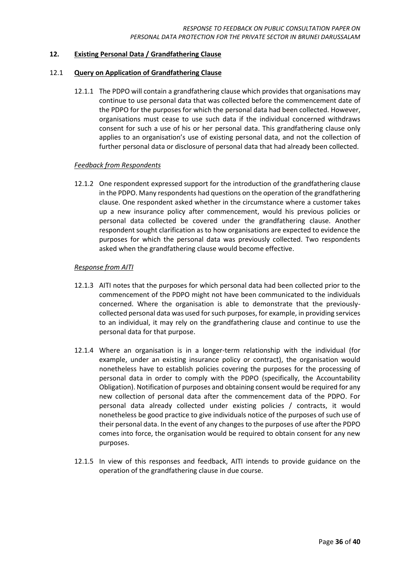#### <span id="page-35-0"></span>**12. Existing Personal Data / Grandfathering Clause**

#### <span id="page-35-1"></span>12.1 **Query on Application of Grandfathering Clause**

12.1.1 The PDPO will contain a grandfathering clause which provides that organisations may continue to use personal data that was collected before the commencement date of the PDPO for the purposes for which the personal data had been collected. However, organisations must cease to use such data if the individual concerned withdraws consent for such a use of his or her personal data. This grandfathering clause only applies to an organisation's use of existing personal data, and not the collection of further personal data or disclosure of personal data that had already been collected.

#### *Feedback from Respondents*

12.1.2 One respondent expressed support for the introduction of the grandfathering clause in the PDPO. Many respondents had questions on the operation of the grandfathering clause. One respondent asked whether in the circumstance where a customer takes up a new insurance policy after commencement, would his previous policies or personal data collected be covered under the grandfathering clause. Another respondent sought clarification as to how organisations are expected to evidence the purposes for which the personal data was previously collected. Two respondents asked when the grandfathering clause would become effective.

#### *Response from AITI*

- 12.1.3 AITI notes that the purposes for which personal data had been collected prior to the commencement of the PDPO might not have been communicated to the individuals concerned. Where the organisation is able to demonstrate that the previouslycollected personal data was used for such purposes, for example, in providing services to an individual, it may rely on the grandfathering clause and continue to use the personal data for that purpose.
- 12.1.4 Where an organisation is in a longer-term relationship with the individual (for example, under an existing insurance policy or contract), the organisation would nonetheless have to establish policies covering the purposes for the processing of personal data in order to comply with the PDPO (specifically, the Accountability Obligation). Notification of purposes and obtaining consent would be required for any new collection of personal data after the commencement data of the PDPO. For personal data already collected under existing policies / contracts, it would nonetheless be good practice to give individuals notice of the purposes of such use of their personal data. In the event of any changes to the purposes of use after the PDPO comes into force, the organisation would be required to obtain consent for any new purposes.
- <span id="page-35-2"></span>12.1.5 In view of this responses and feedback, AITI intends to provide guidance on the operation of the grandfathering clause in due course.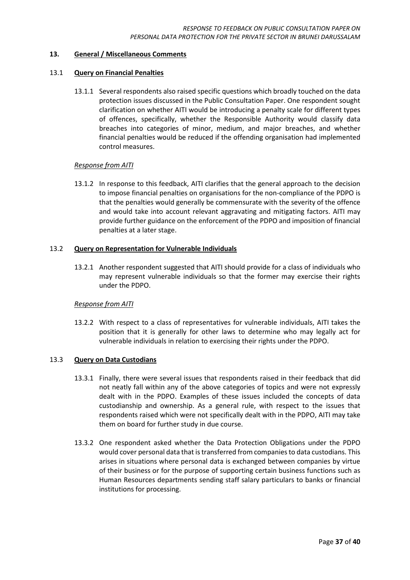#### **13. General / Miscellaneous Comments**

#### <span id="page-36-0"></span>13.1 **Query on Financial Penalties**

13.1.1 Several respondents also raised specific questions which broadly touched on the data protection issues discussed in the Public Consultation Paper. One respondent sought clarification on whether AITI would be introducing a penalty scale for different types of offences, specifically, whether the Responsible Authority would classify data breaches into categories of minor, medium, and major breaches, and whether financial penalties would be reduced if the offending organisation had implemented control measures.

#### *Response from AITI*

13.1.2 In response to this feedback, AITI clarifies that the general approach to the decision to impose financial penalties on organisations for the non-compliance of the PDPO is that the penalties would generally be commensurate with the severity of the offence and would take into account relevant aggravating and mitigating factors. AITI may provide further guidance on the enforcement of the PDPO and imposition of financial penalties at a later stage.

#### <span id="page-36-1"></span>13.2 **Query on Representation for Vulnerable Individuals**

13.2.1 Another respondent suggested that AITI should provide for a class of individuals who may represent vulnerable individuals so that the former may exercise their rights under the PDPO.

#### *Response from AITI*

13.2.2 With respect to a class of representatives for vulnerable individuals, AITI takes the position that it is generally for other laws to determine who may legally act for vulnerable individuals in relation to exercising their rights under the PDPO.

#### <span id="page-36-2"></span>13.3 **Query on Data Custodians**

- 13.3.1 Finally, there were several issues that respondents raised in their feedback that did not neatly fall within any of the above categories of topics and were not expressly dealt with in the PDPO. Examples of these issues included the concepts of data custodianship and ownership. As a general rule, with respect to the issues that respondents raised which were not specifically dealt with in the PDPO, AITI may take them on board for further study in due course.
- 13.3.2 One respondent asked whether the Data Protection Obligations under the PDPO would cover personal data that is transferred from companies to data custodians. This arises in situations where personal data is exchanged between companies by virtue of their business or for the purpose of supporting certain business functions such as Human Resources departments sending staff salary particulars to banks or financial institutions for processing.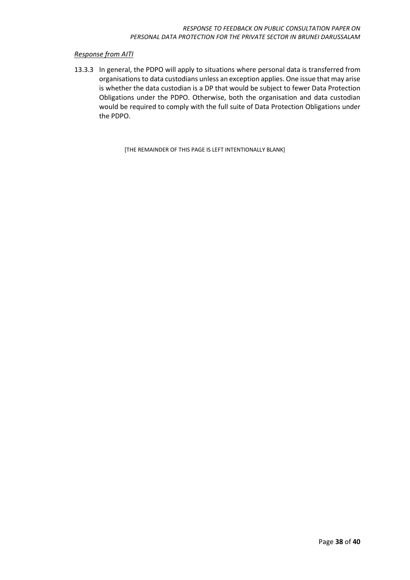13.3.3 In general, the PDPO will apply to situations where personal data is transferred from organisations to data custodians unless an exception applies. One issue that may arise is whether the data custodian is a DP that would be subject to fewer Data Protection Obligations under the PDPO. Otherwise, both the organisation and data custodian would be required to comply with the full suite of Data Protection Obligations under the PDPO.

[THE REMAINDER OF THIS PAGE IS LEFT INTENTIONALLY BLANK]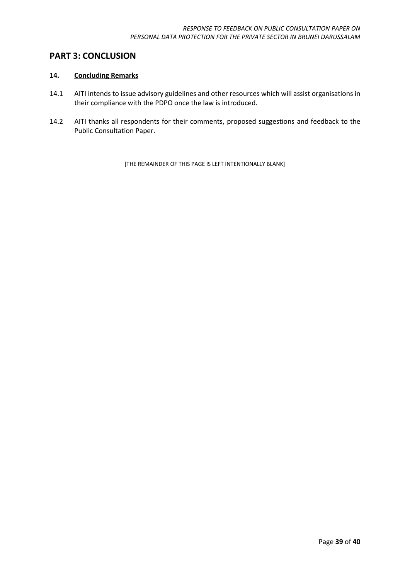### <span id="page-38-0"></span>**PART 3: CONCLUSION**

#### <span id="page-38-1"></span>**14. Concluding Remarks**

- 14.1 AITI intends to issue advisory guidelines and other resources which will assist organisations in their compliance with the PDPO once the law is introduced.
- 14.2 AITI thanks all respondents for their comments, proposed suggestions and feedback to the Public Consultation Paper.

[THE REMAINDER OF THIS PAGE IS LEFT INTENTIONALLY BLANK]